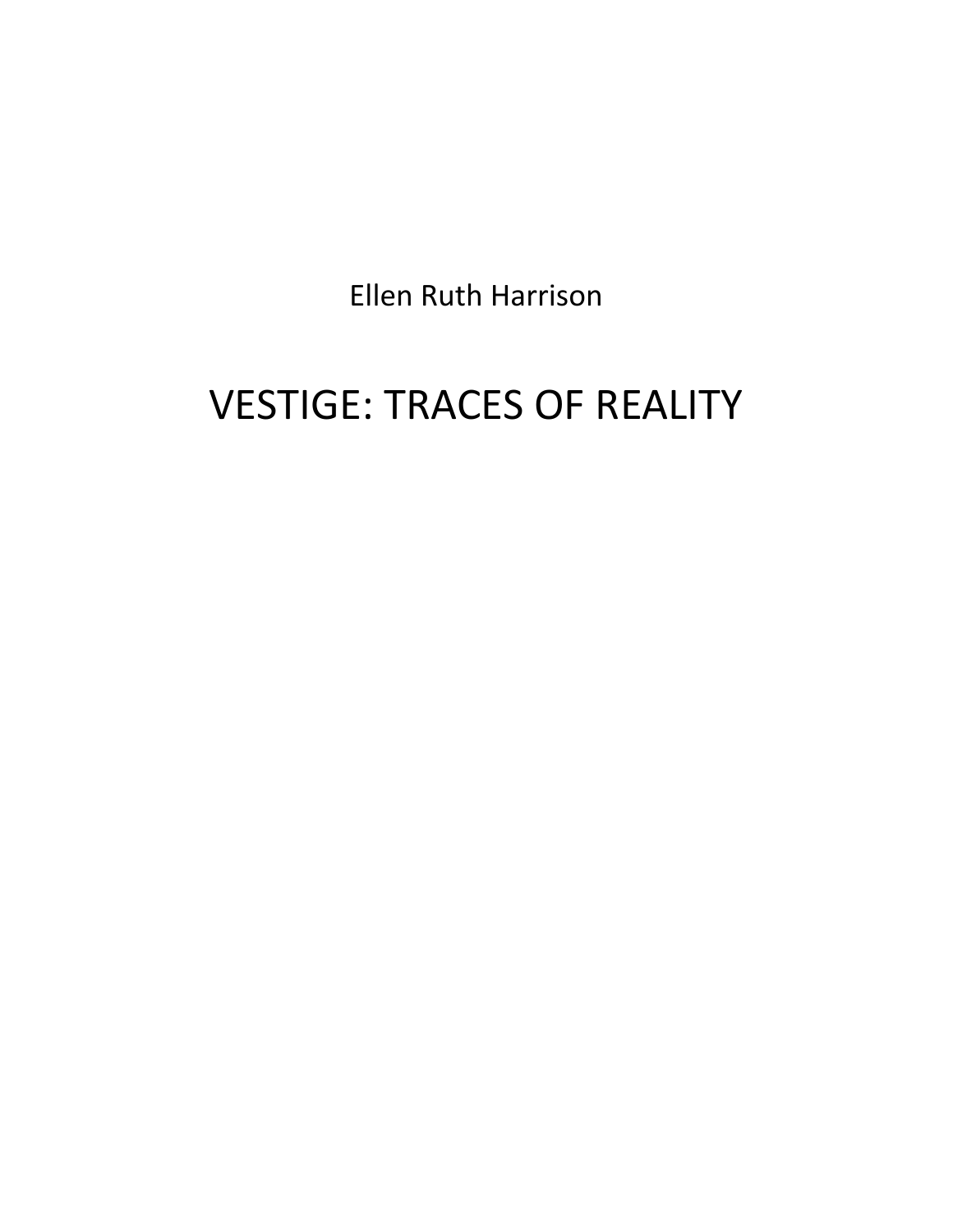**Ellen Ruth Harrison** 

# **VESTIGE: TRACES OF REALITY**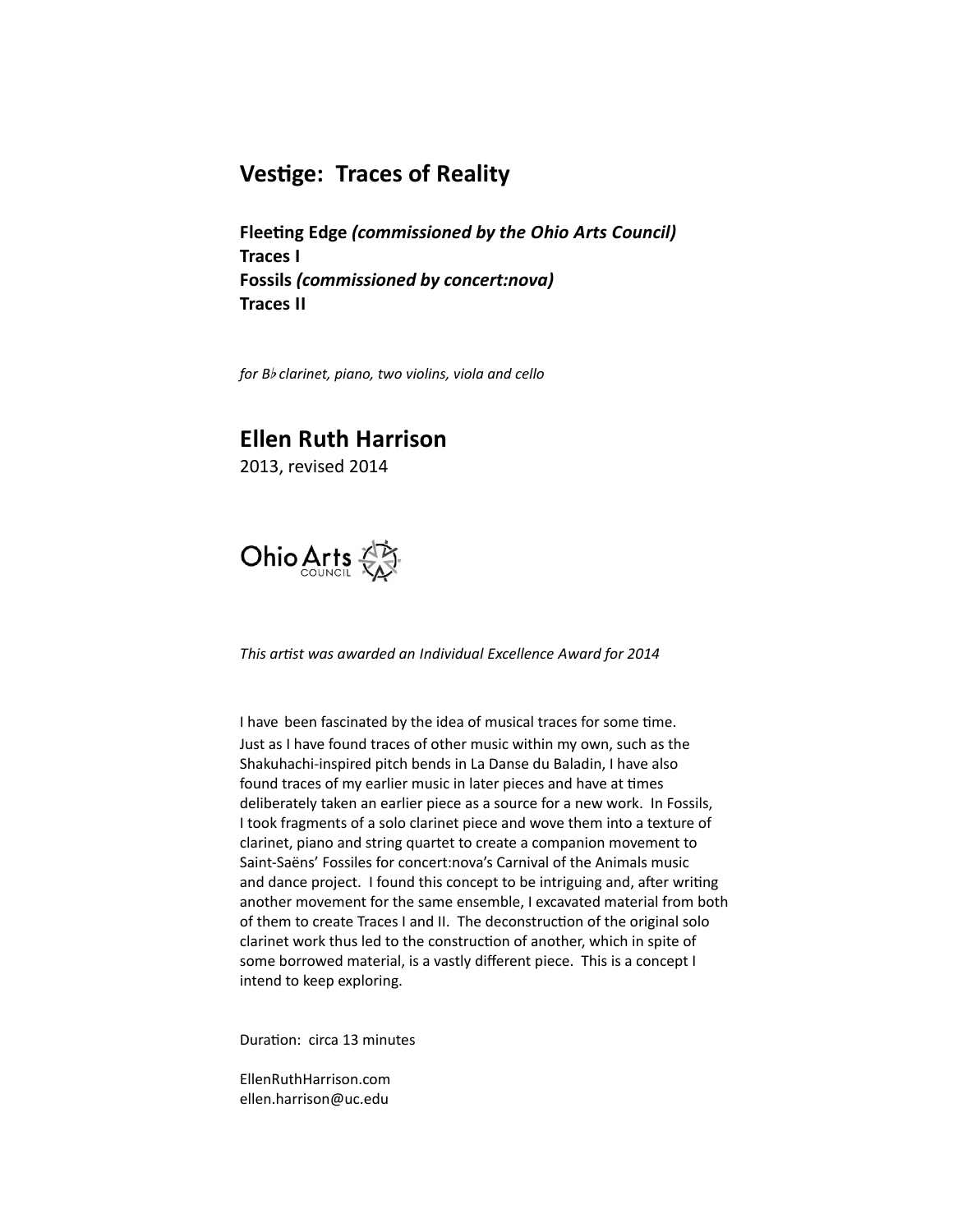#### **Vestige: Traces of Reality**

Fleeting Edge (commissioned by the Ohio Arts Council) **Traces I Fossils** *(commissioned by concert:nova)* **Traces II**

for B<sub>b</sub> clarinet, piano, two violins, viola and cello

#### **Ellen Ruth Harrison**

2013, revised 2014



This artist was awarded an Individual Excellence Award for 2014

I have been fascinated by the idea of musical traces for some time. Just as I have found traces of other music within my own, such as the Shakuhachi-inspired pitch bends in La Danse du Baladin, I have also found traces of my earlier music in later pieces and have at times deliberately taken an earlier piece as a source for a new work. In Fossils, I took fragments of a solo clarinet piece and wove them into a texture of clarinet, piano and string quartet to create a companion movement to Saint-Saëns' Fossiles for concert:nova's Carnival of the Animals music and dance project. I found this concept to be intriguing and, after writing another movement for the same ensemble, I excavated material from both of them to create Traces I and II. The deconstruction of the original solo clarinet work thus led to the construction of another, which in spite of some borrowed material, is a vastly different piece. This is a concept I intend to keep exploring.

Duration: circa 13 minutes

EllenRuthHarrison.com ellen.harrison@uc.edu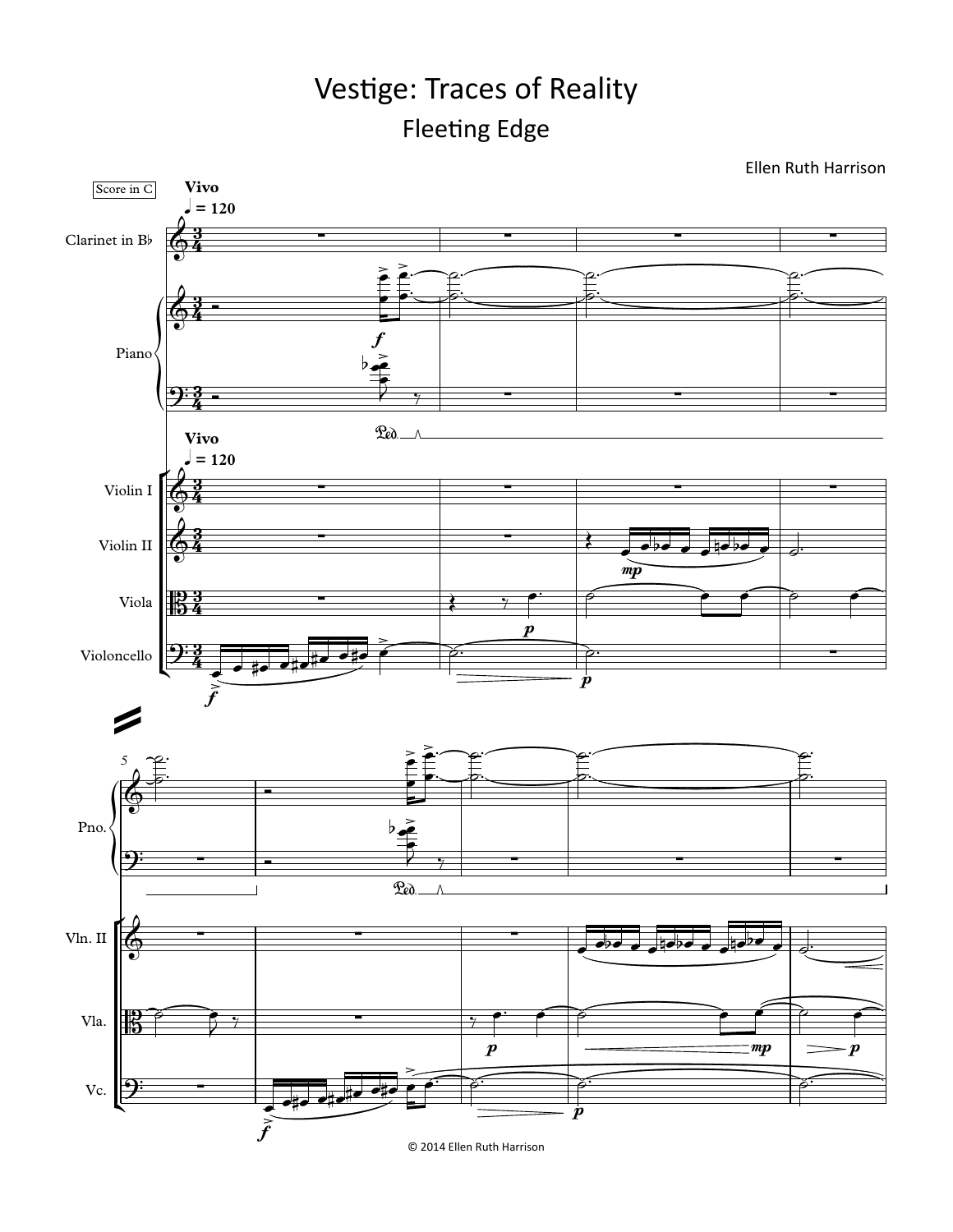## Fleeting Edge Vestige: Traces of Reality

**Ellen Ruth Harrison** 



© 2014 Ellen Ruth Harrison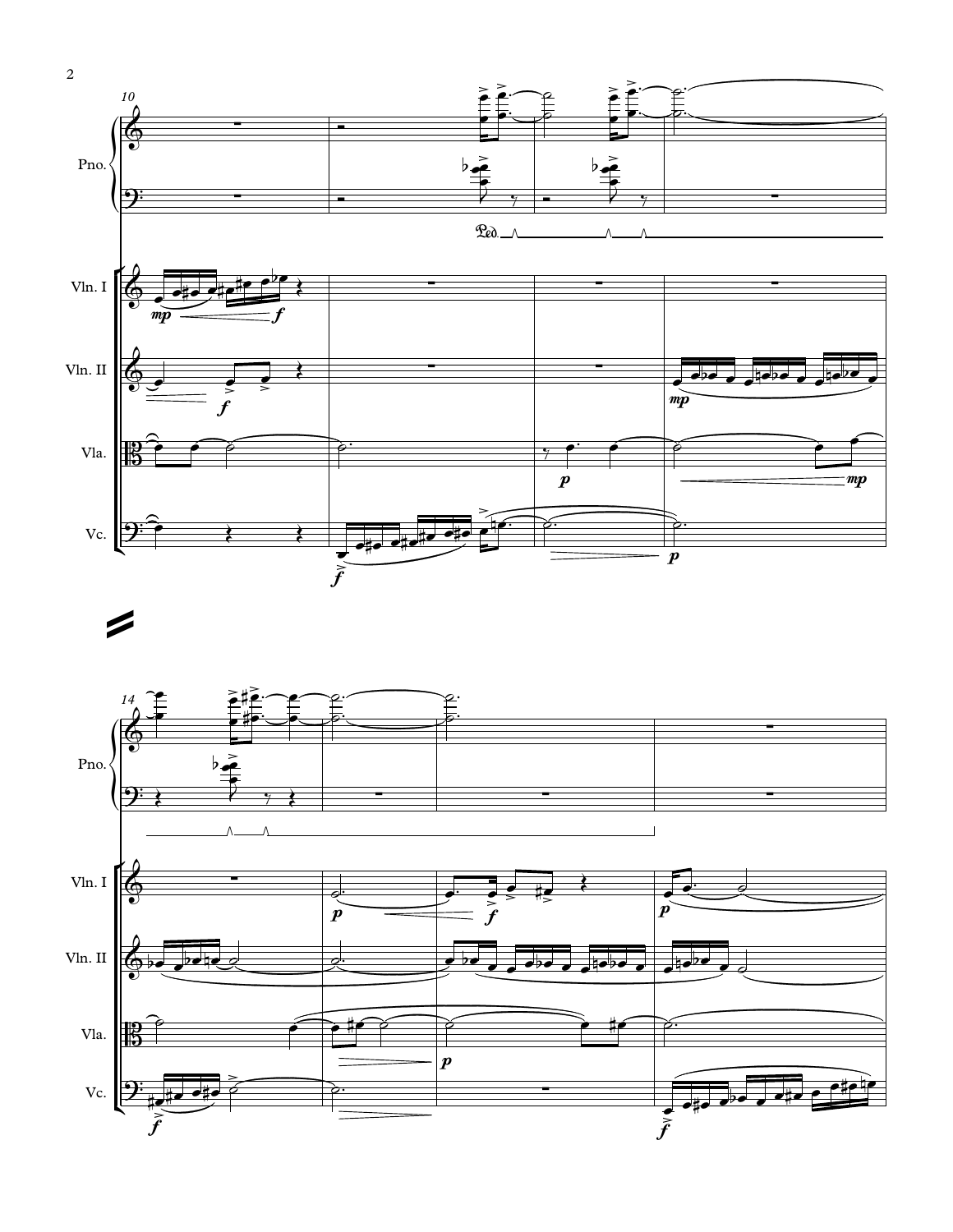



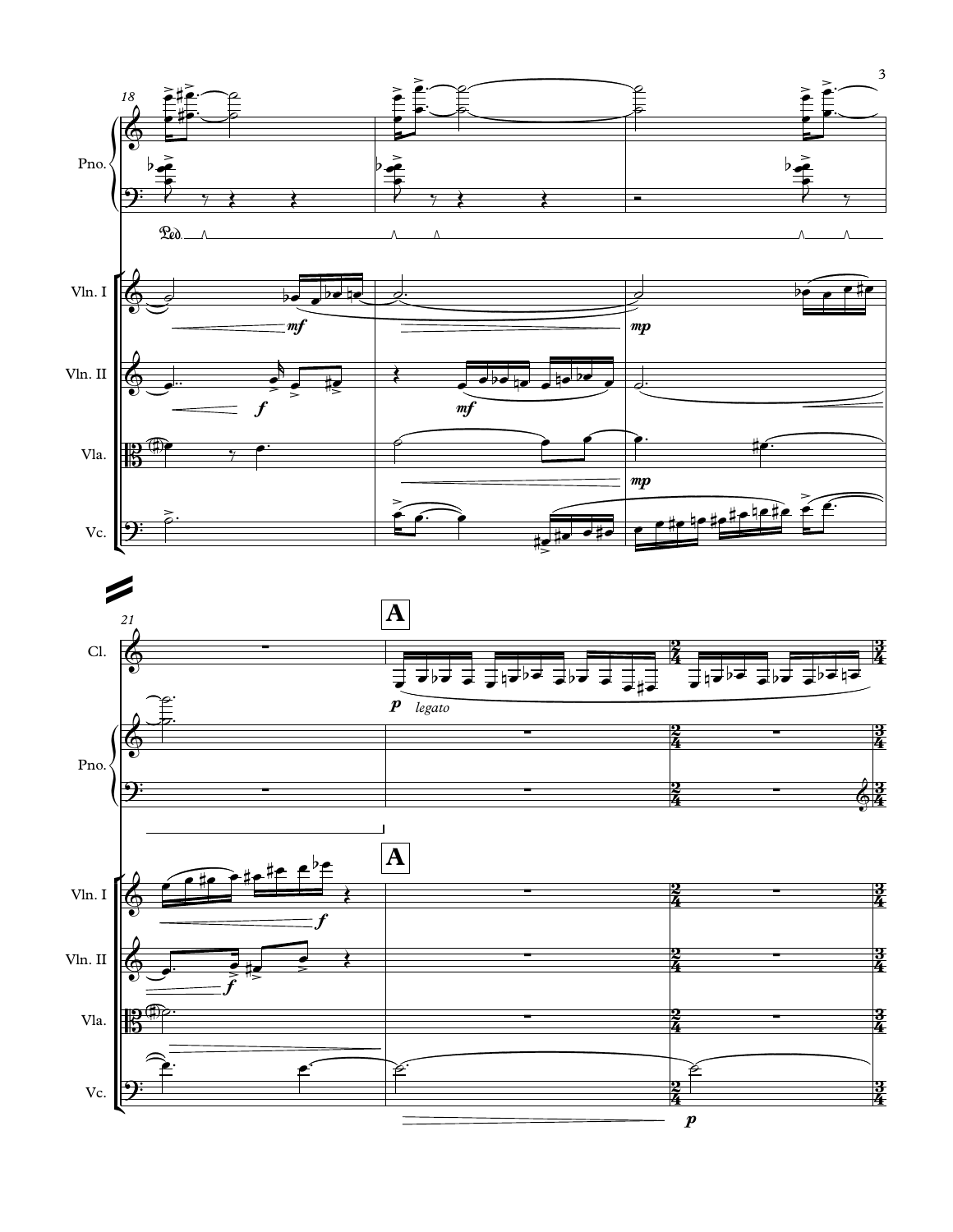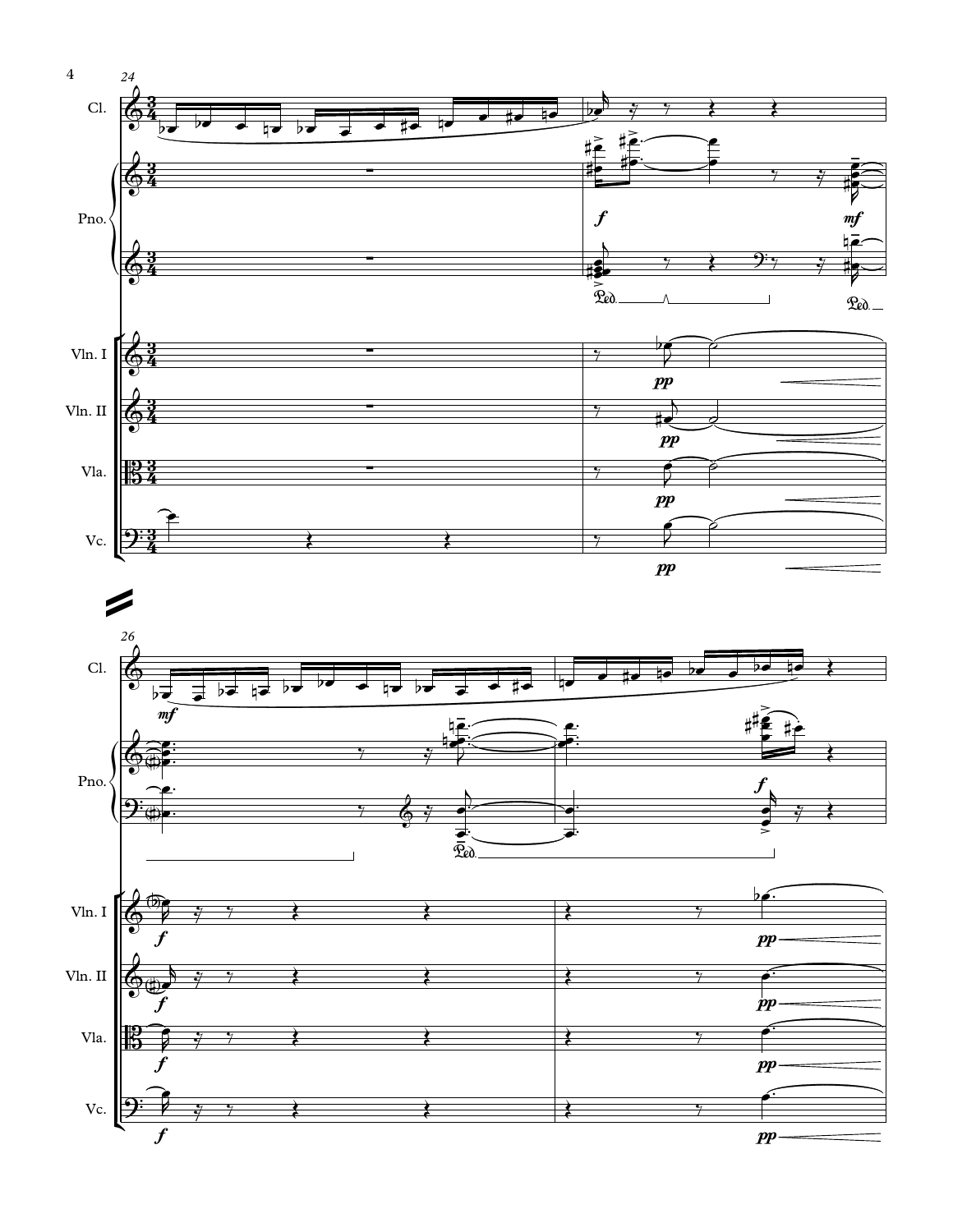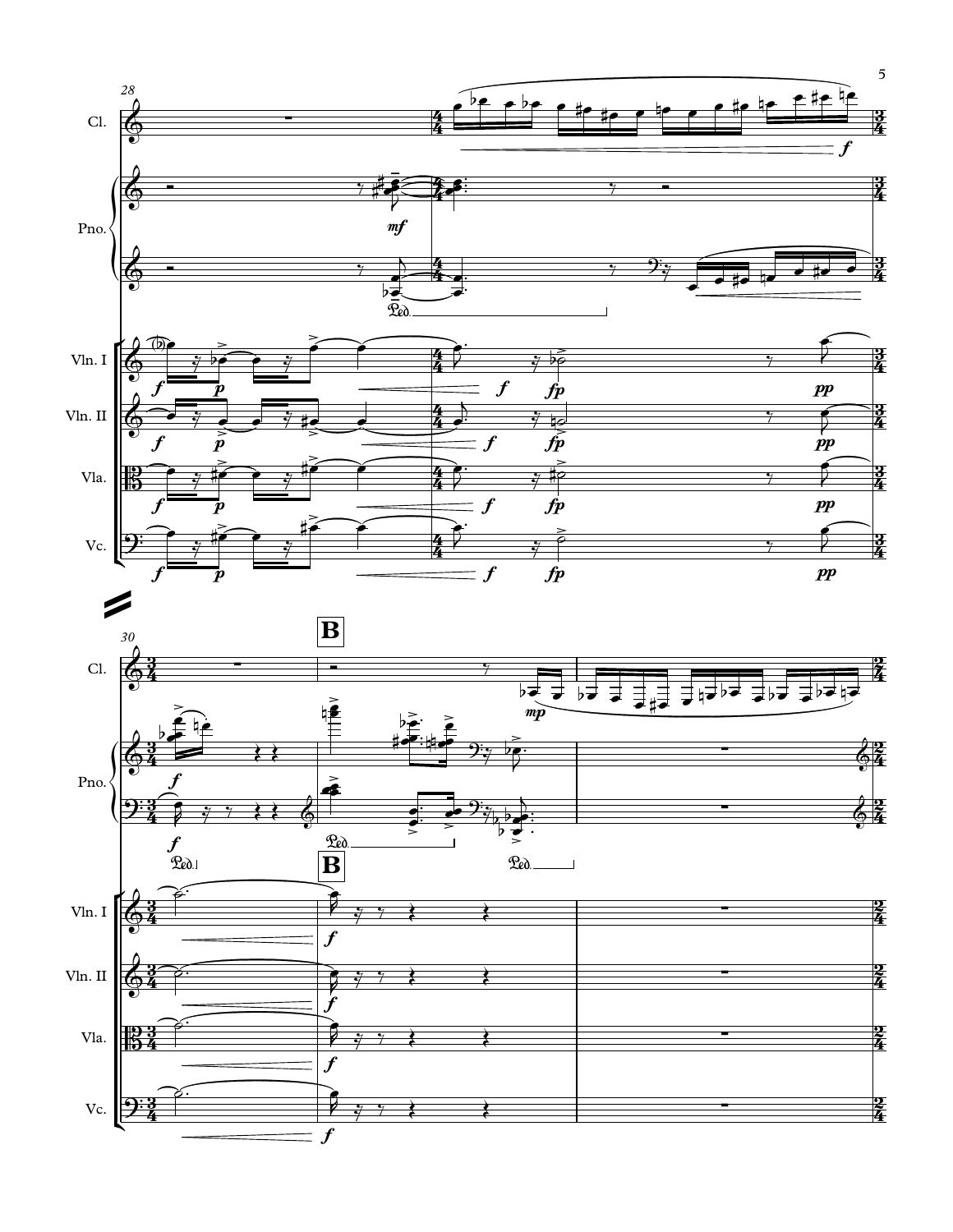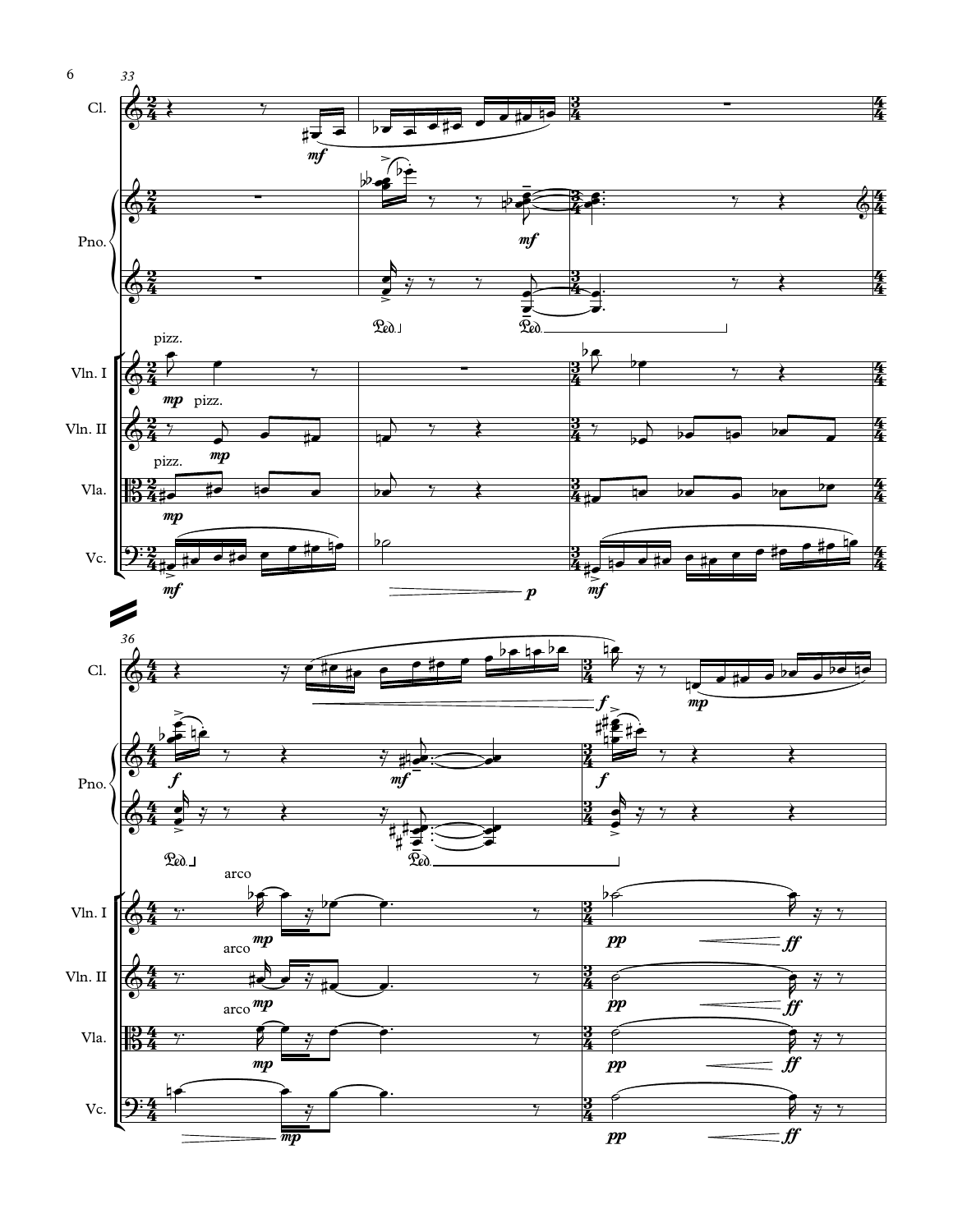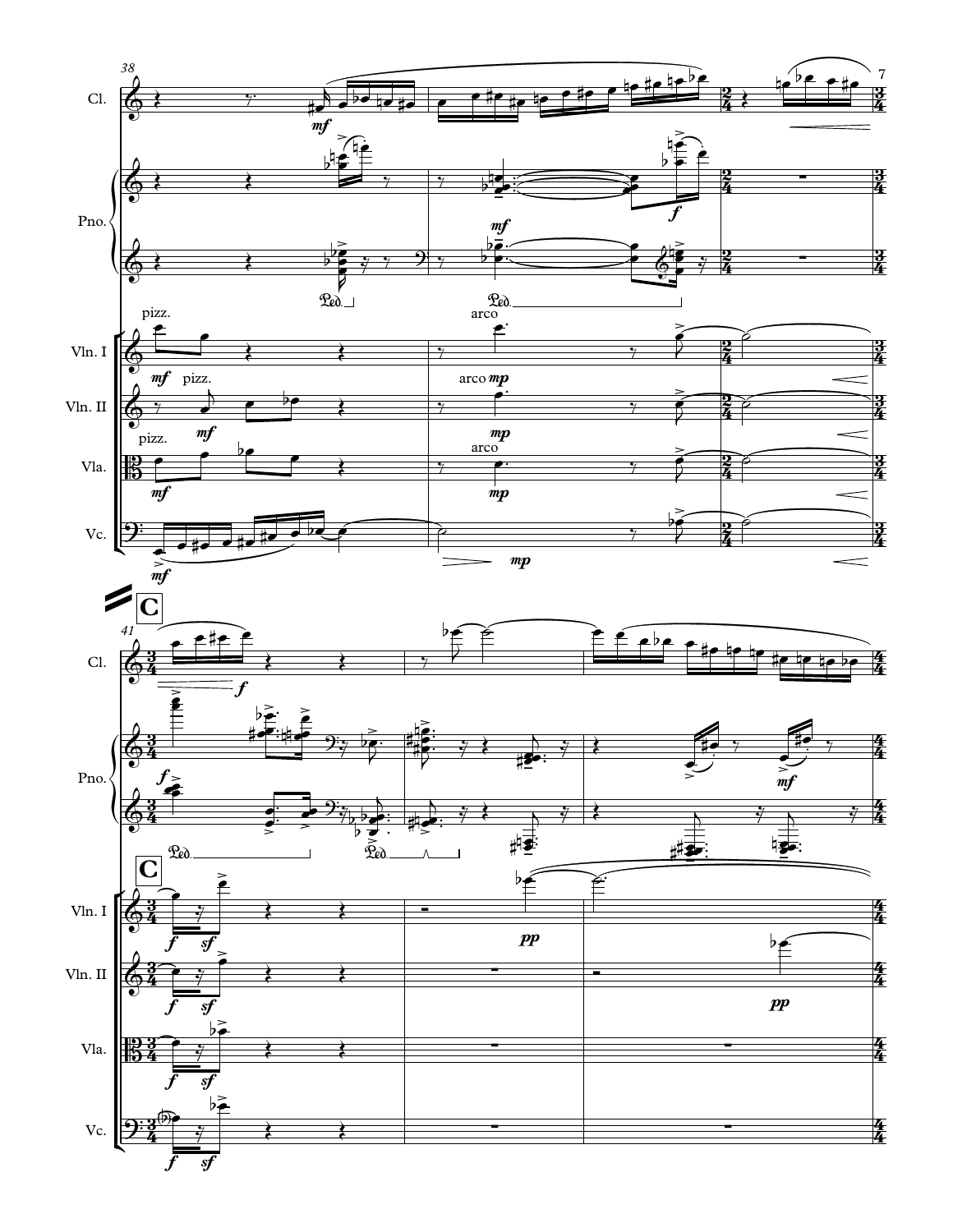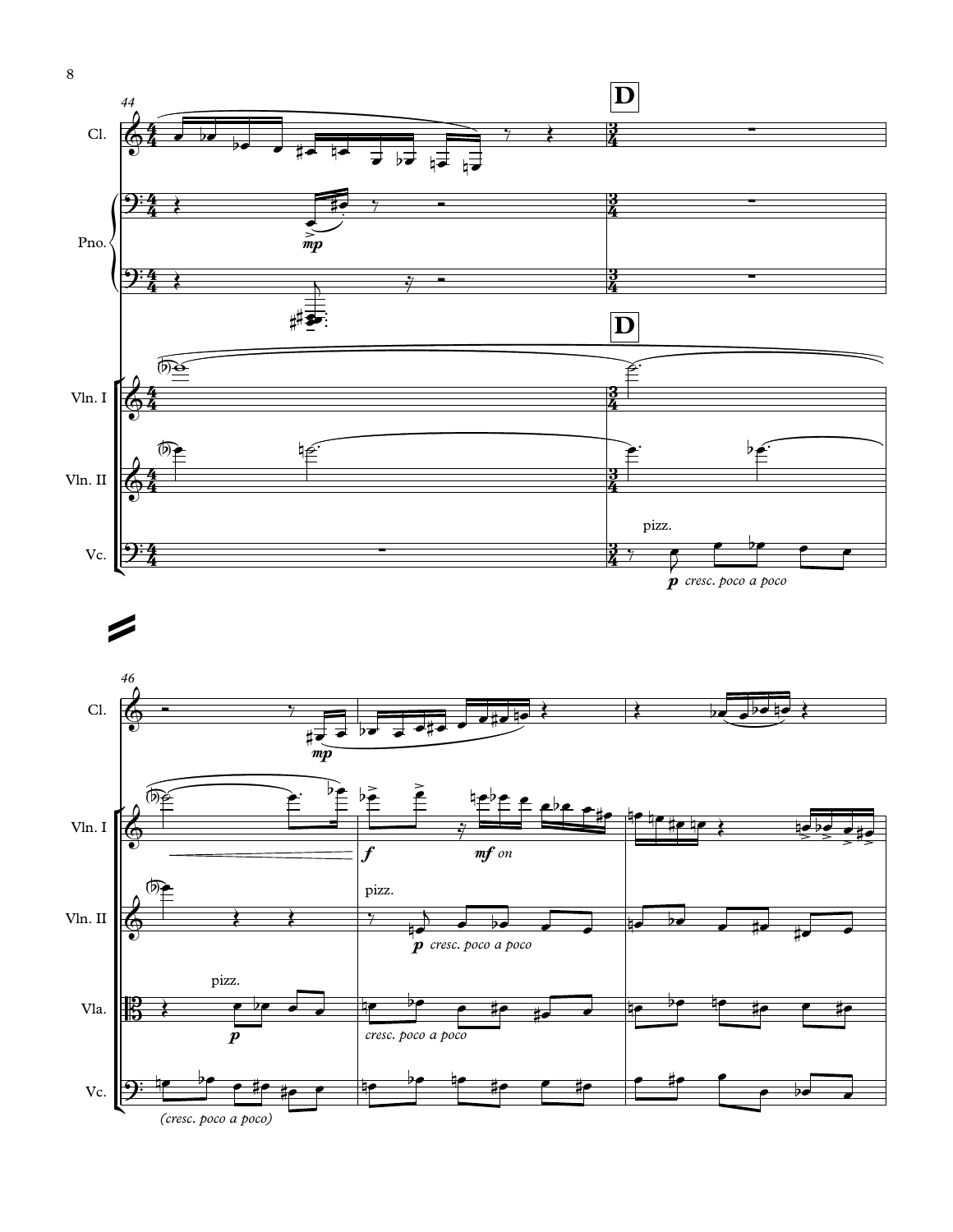

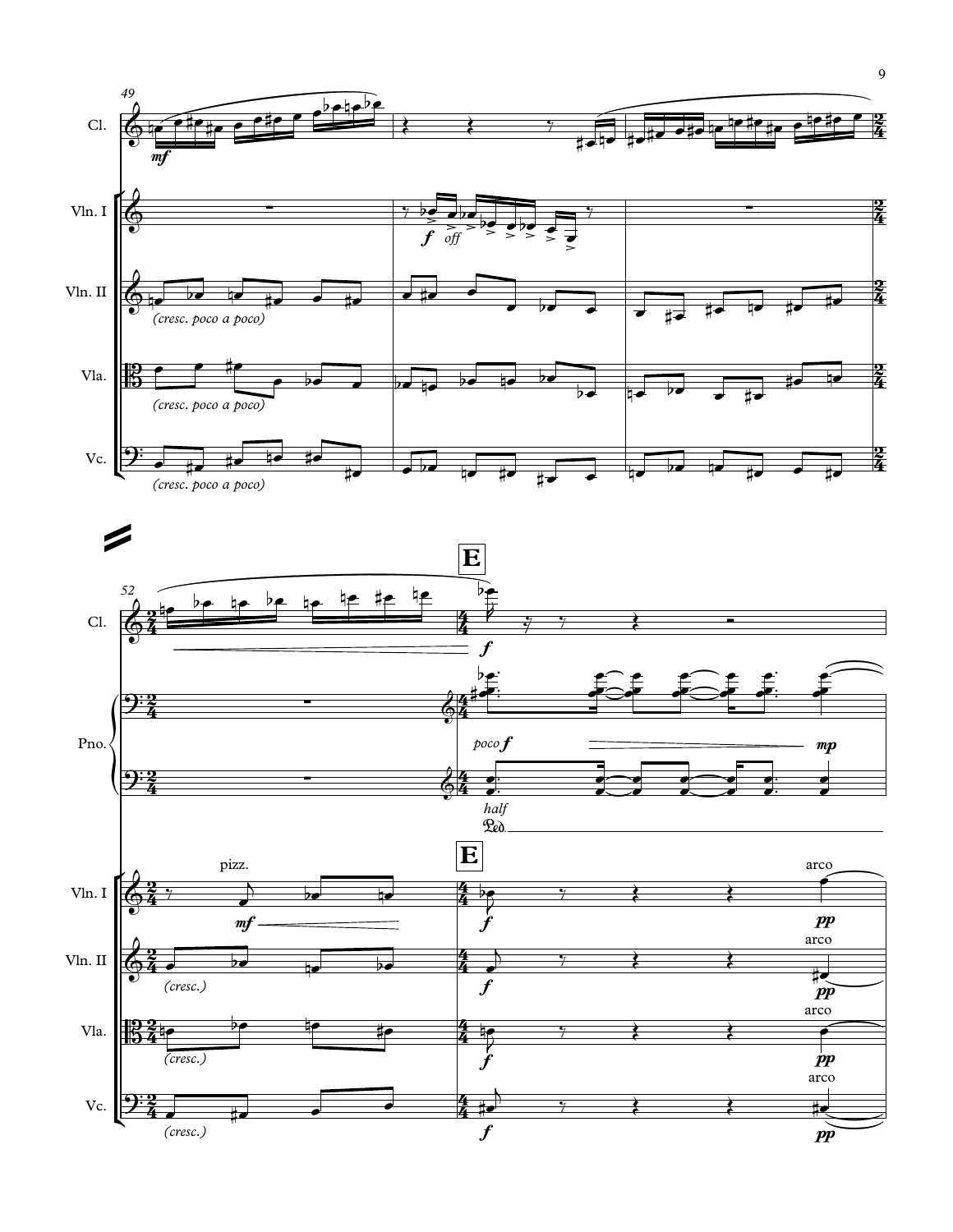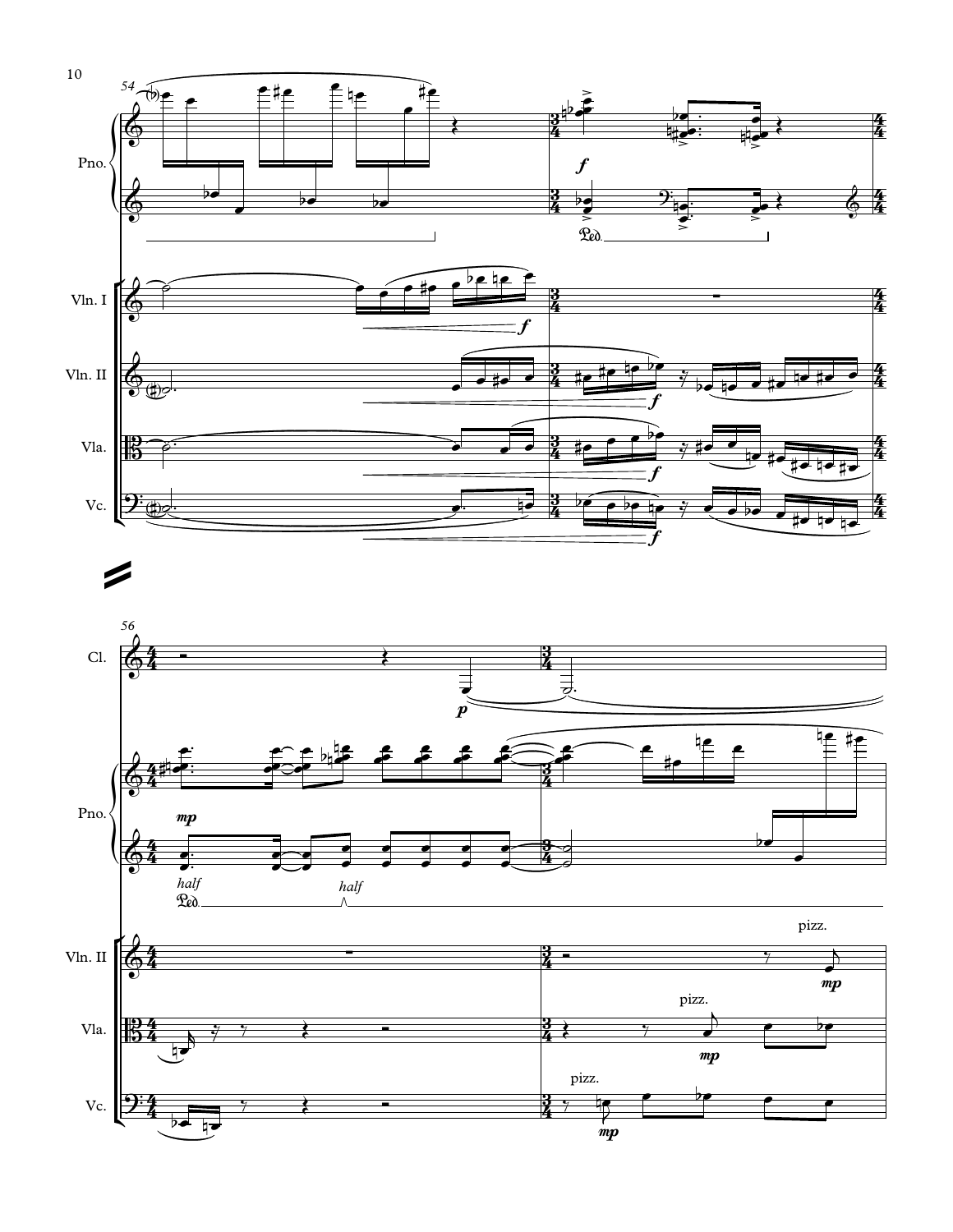

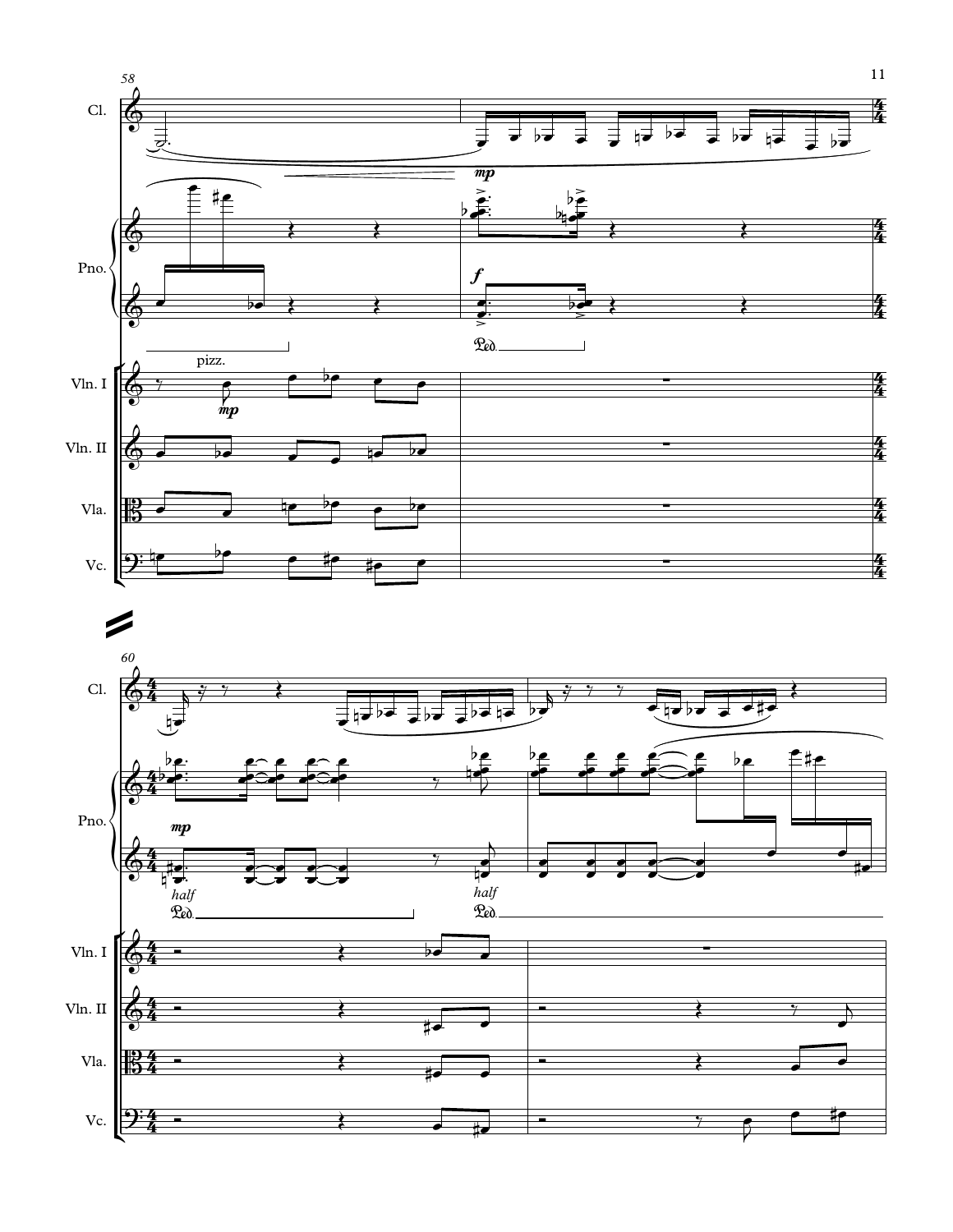

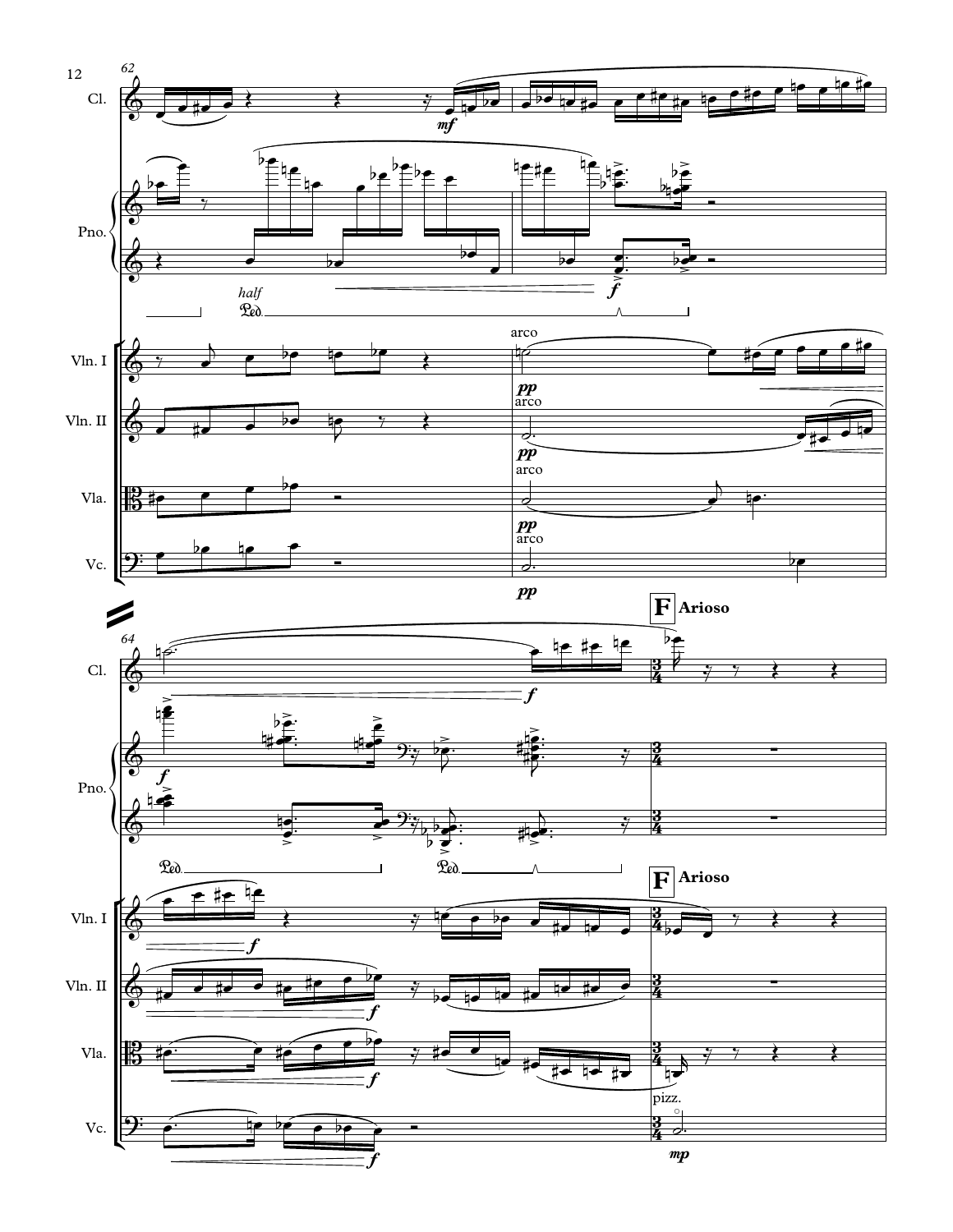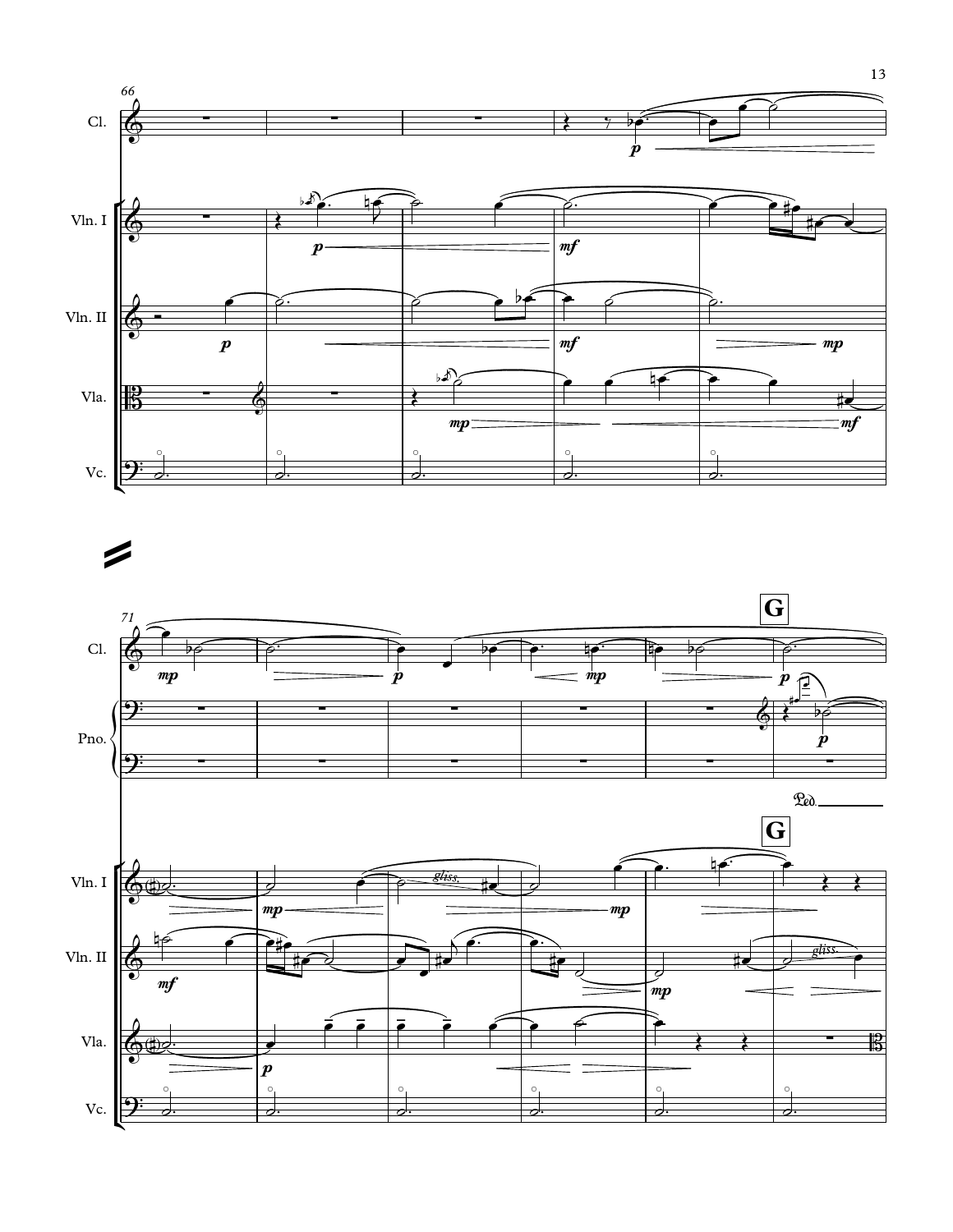

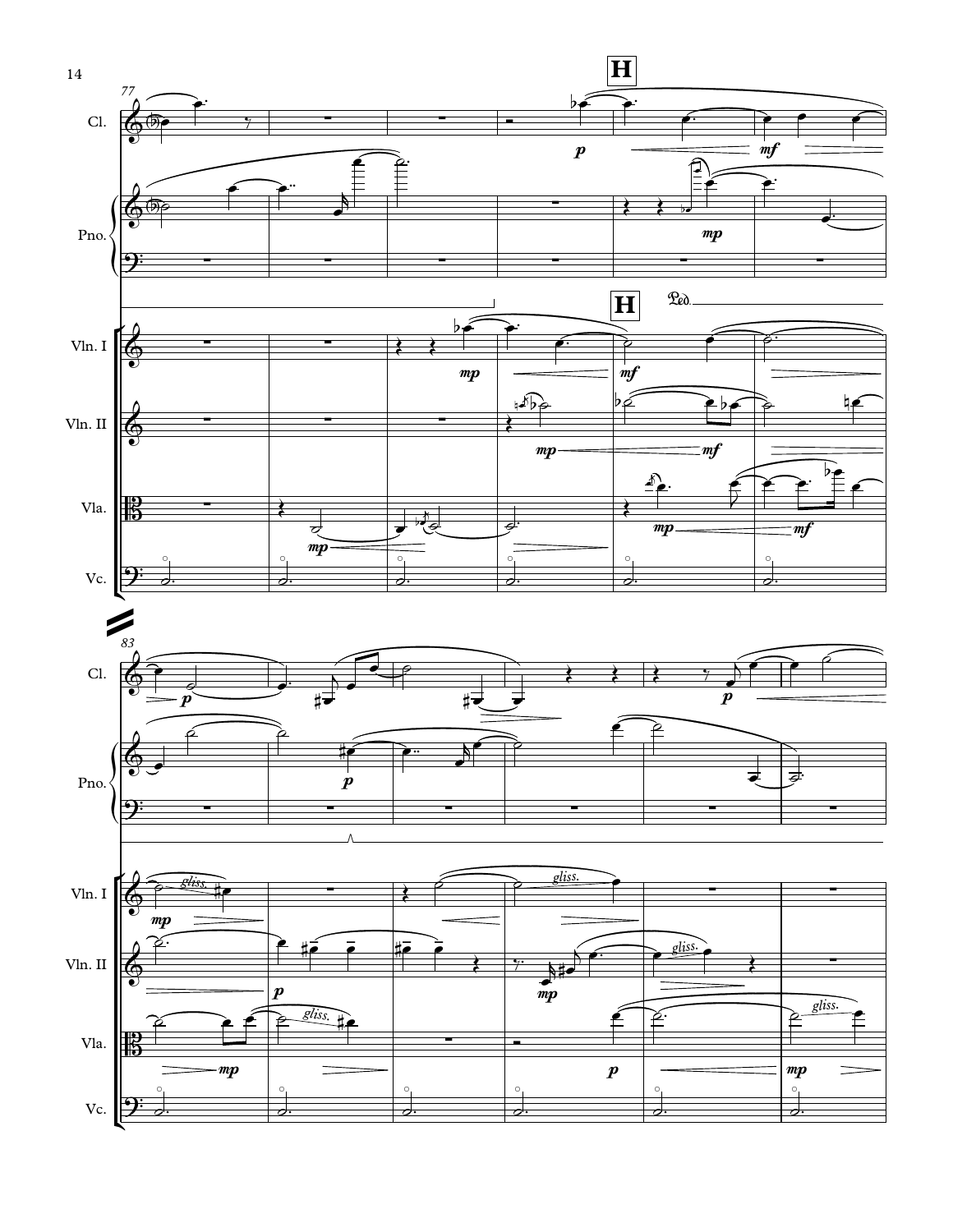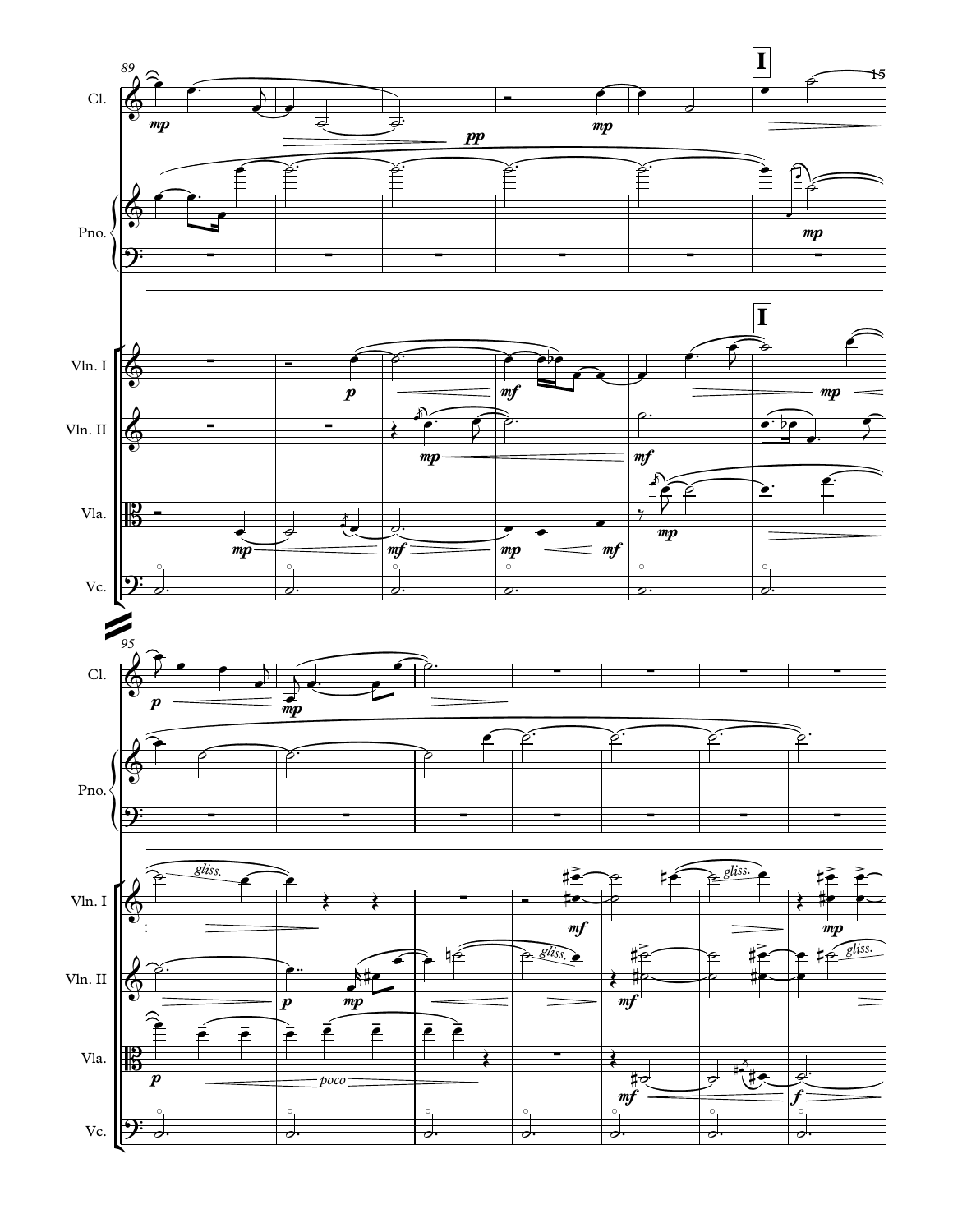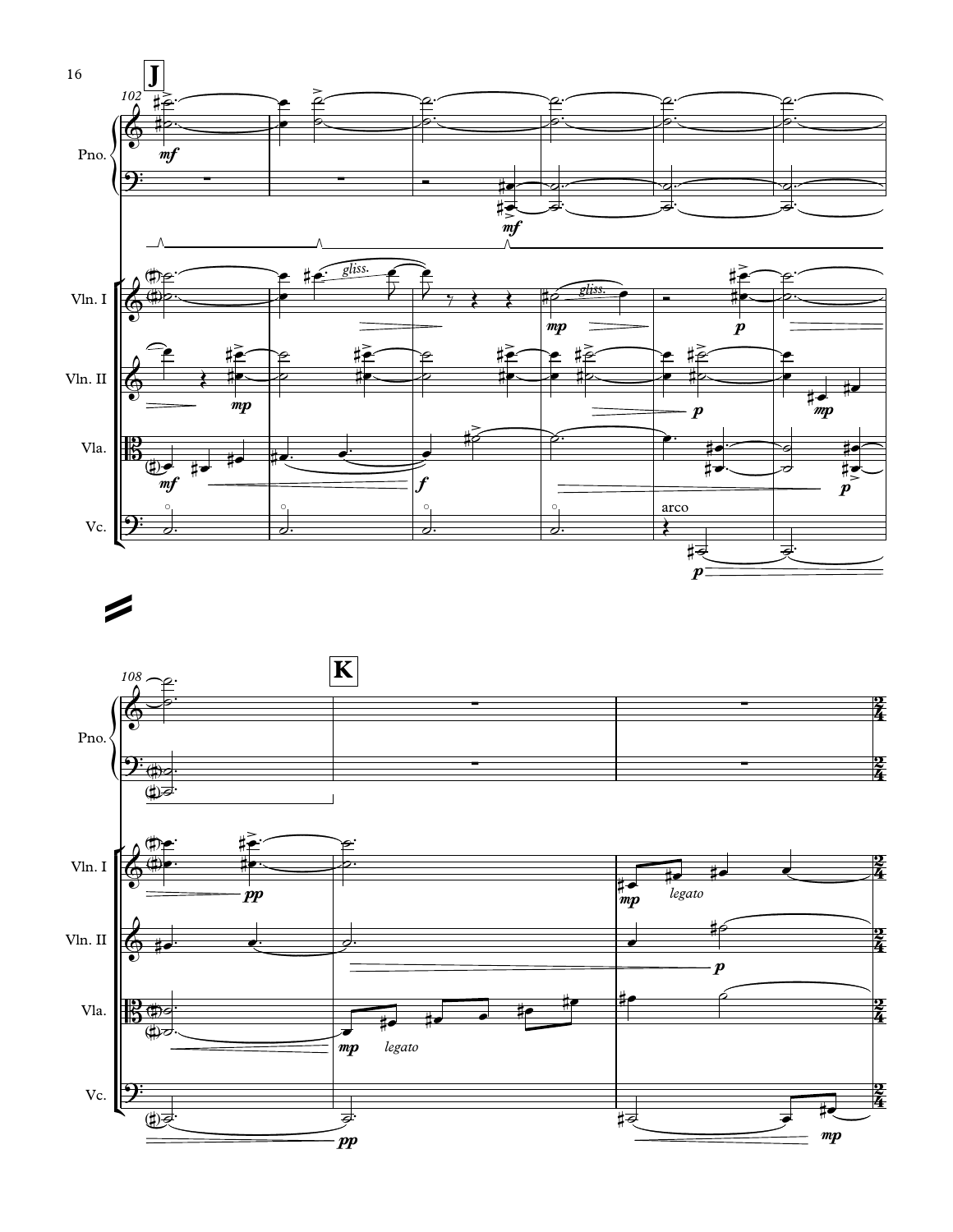

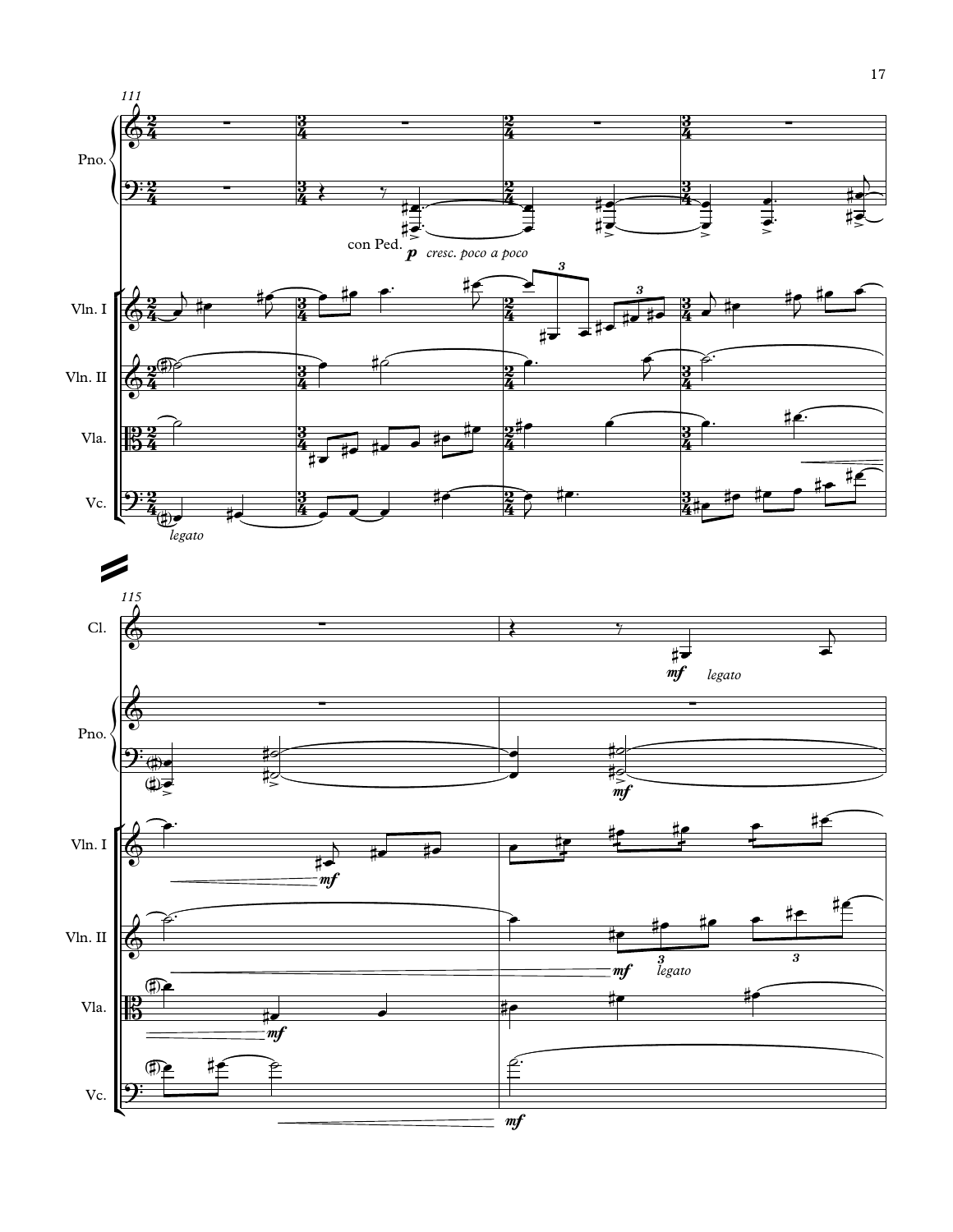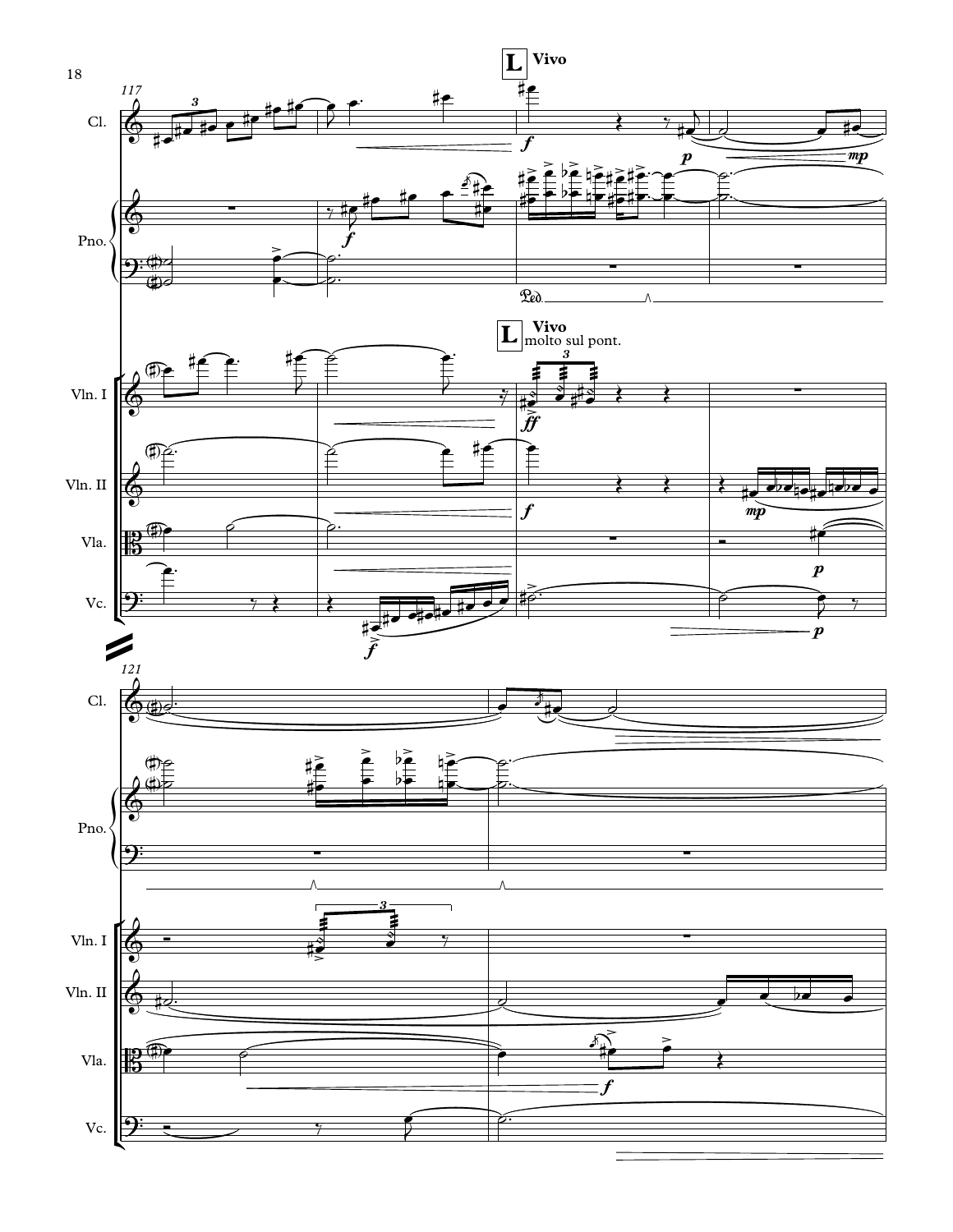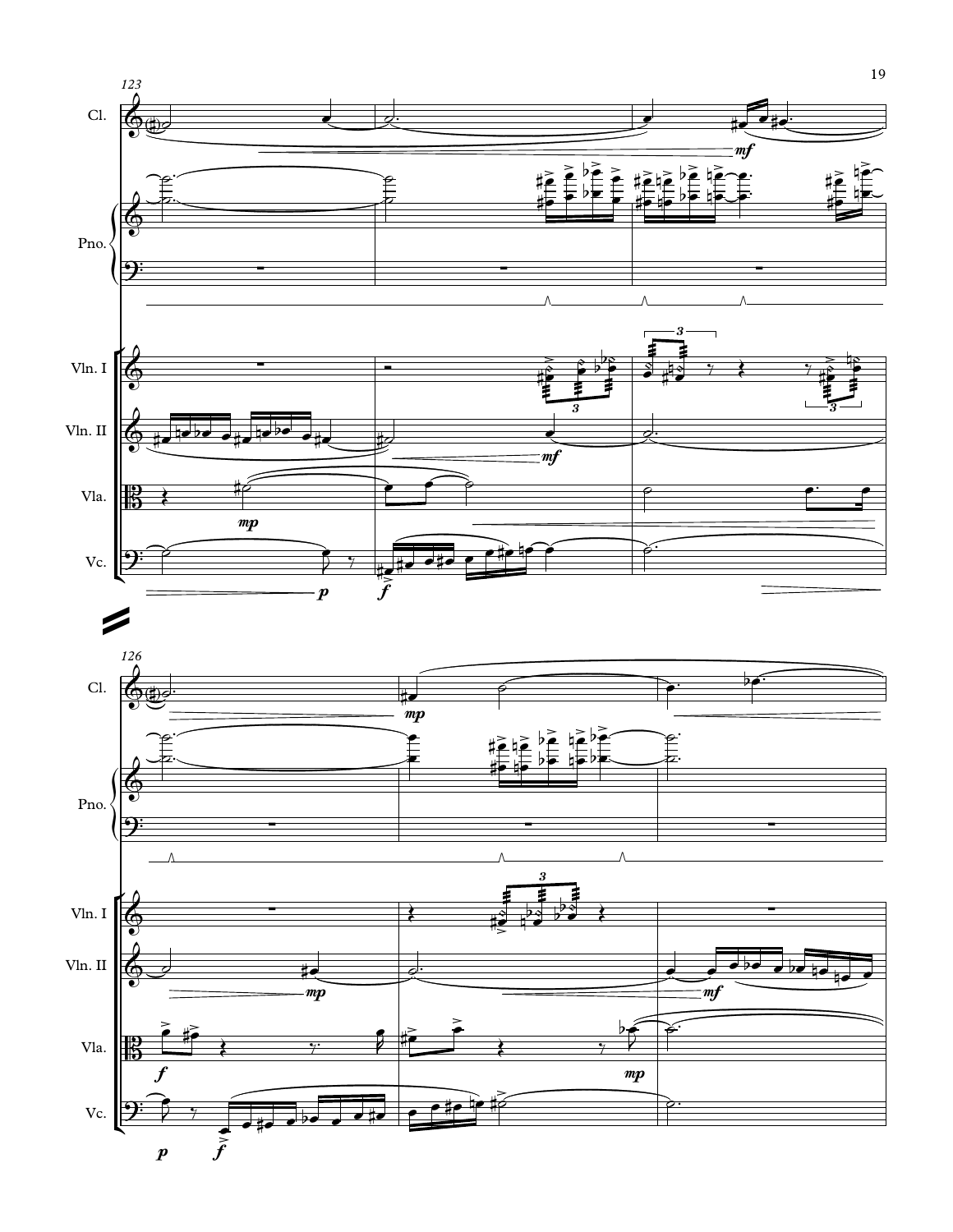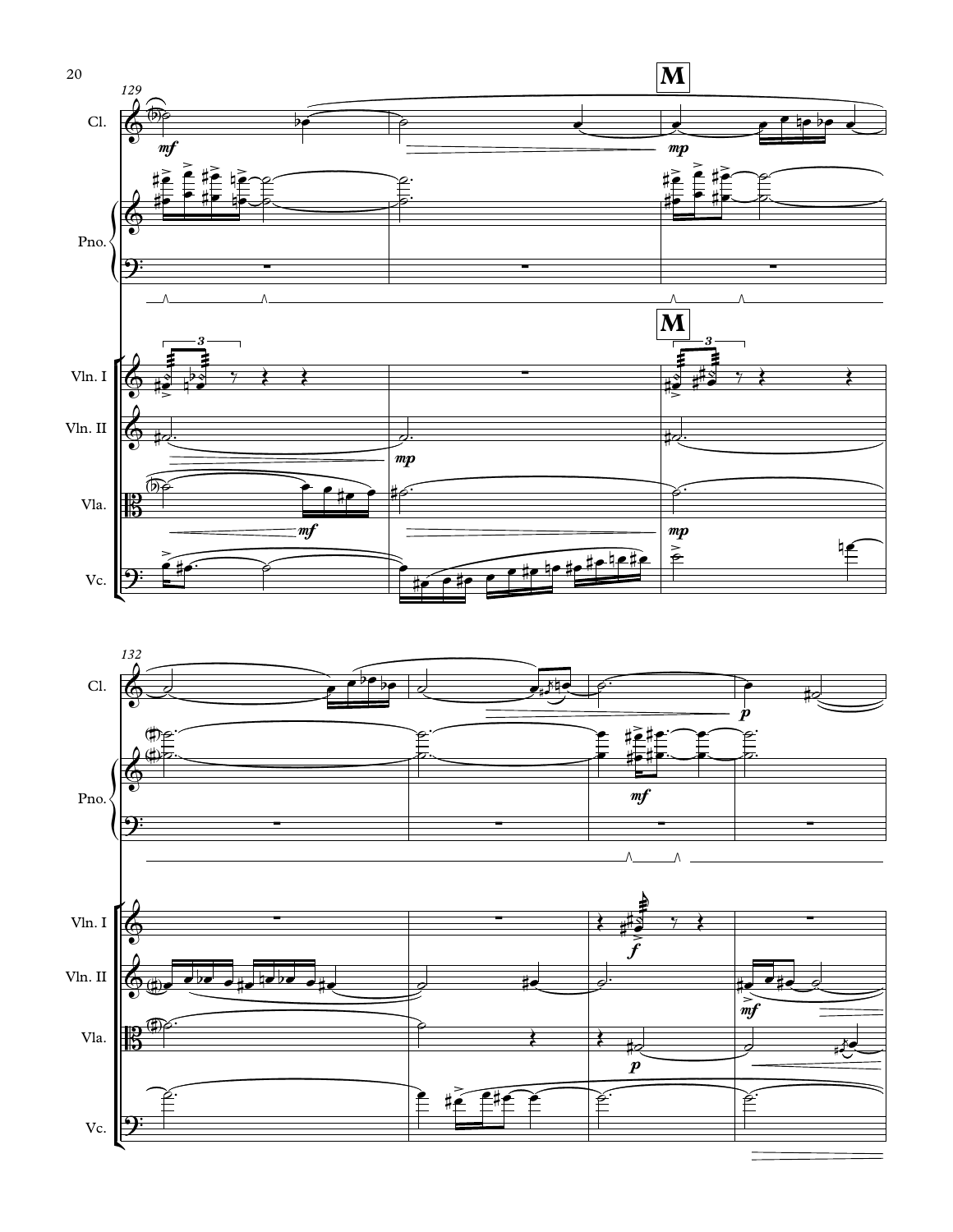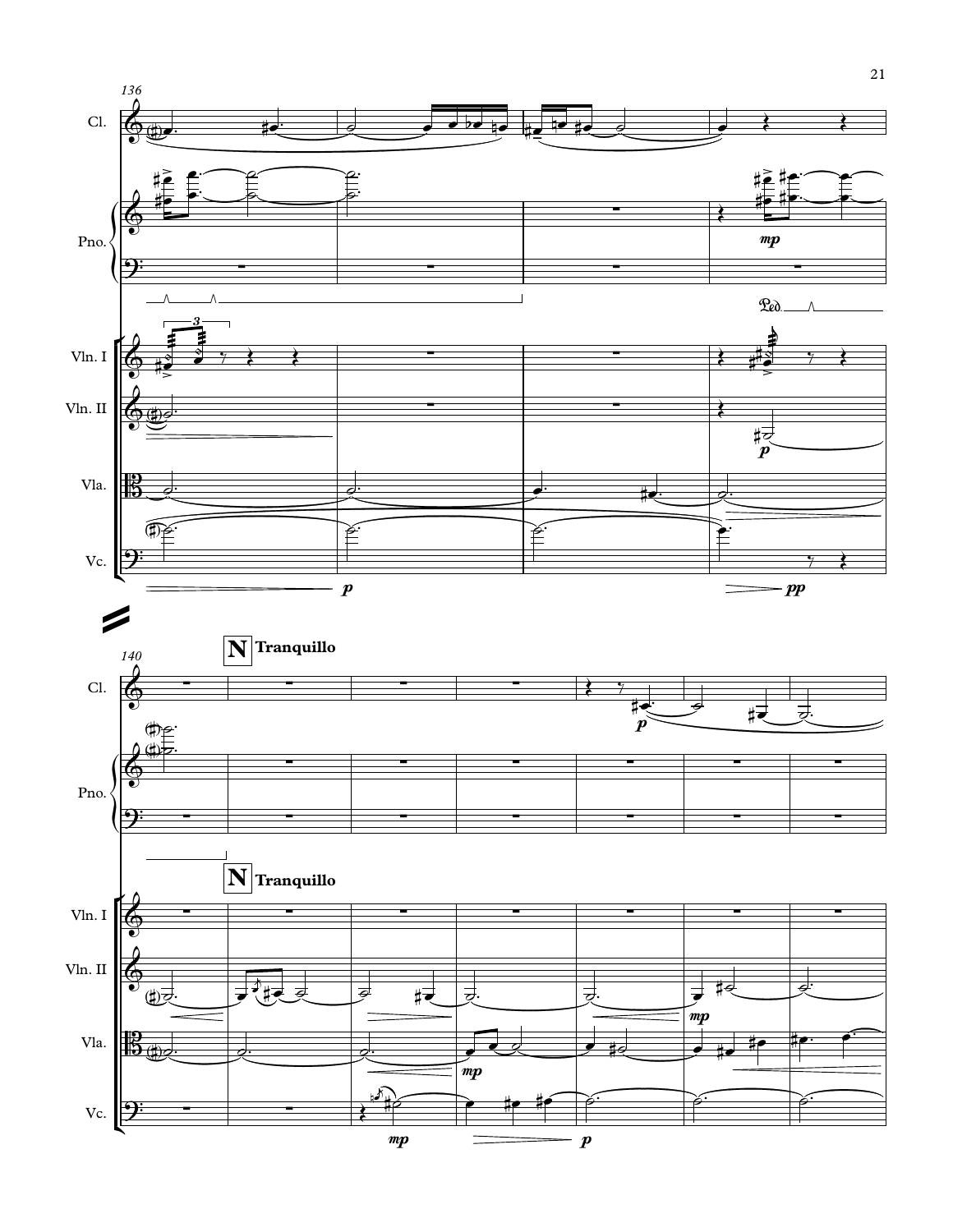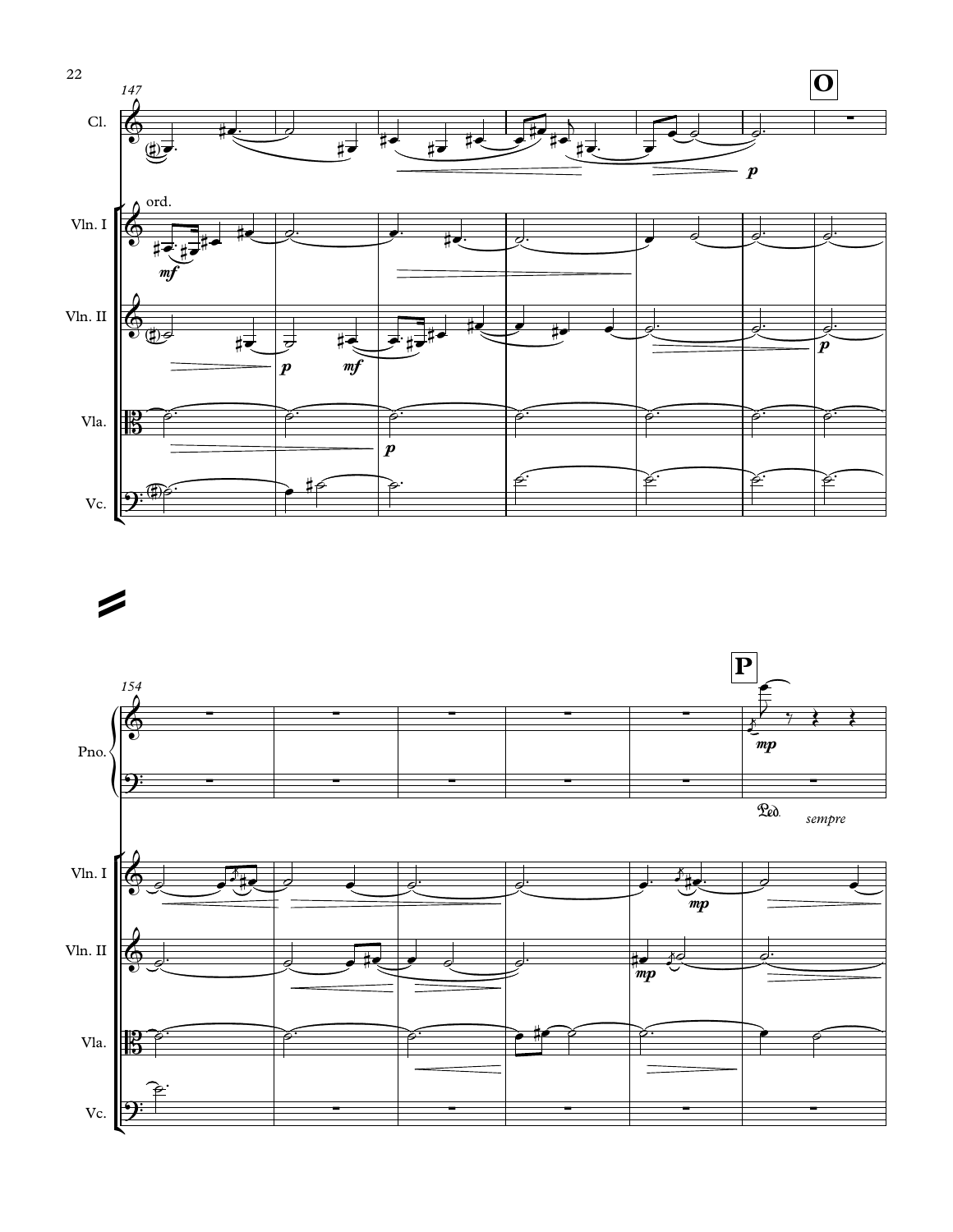



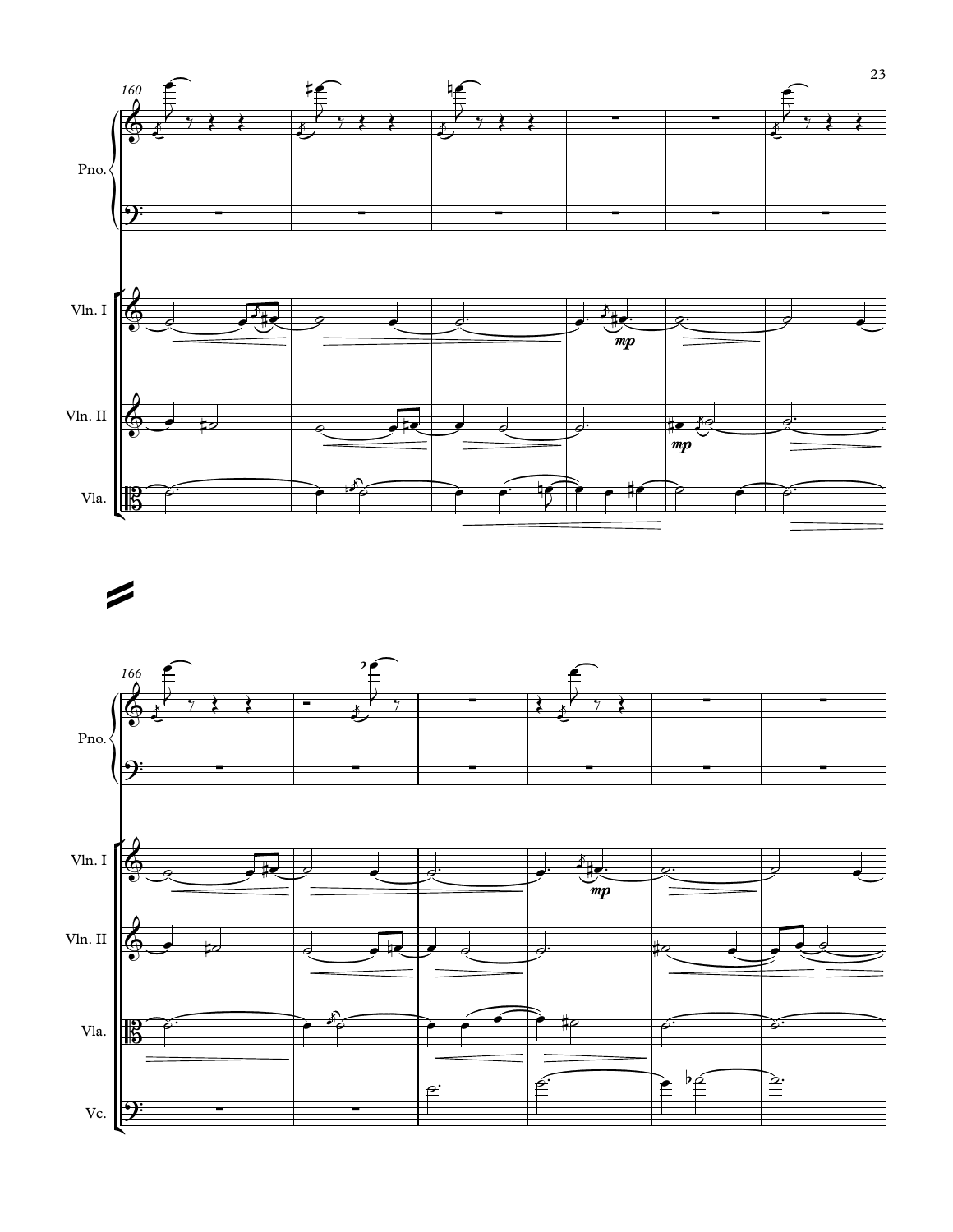



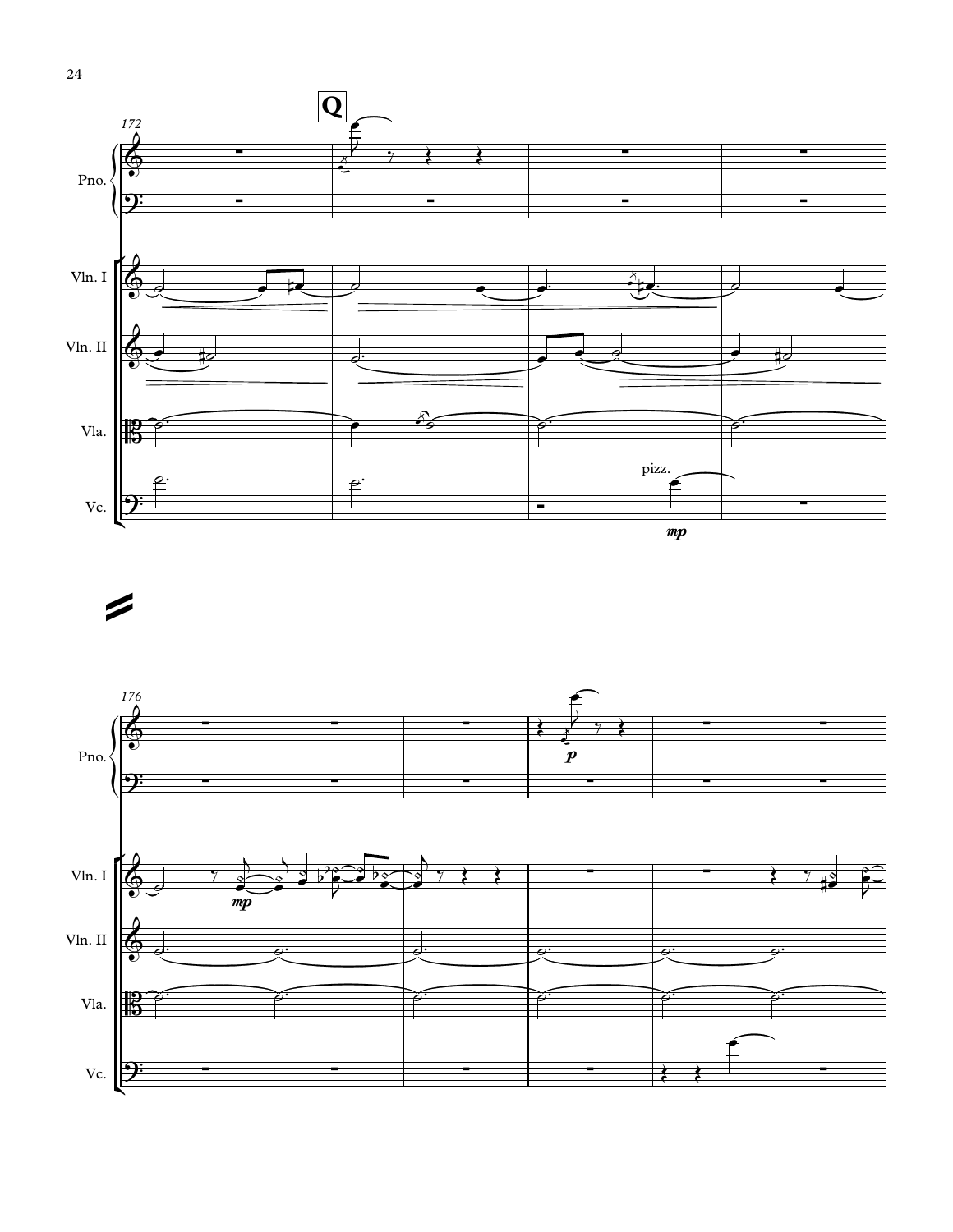

=

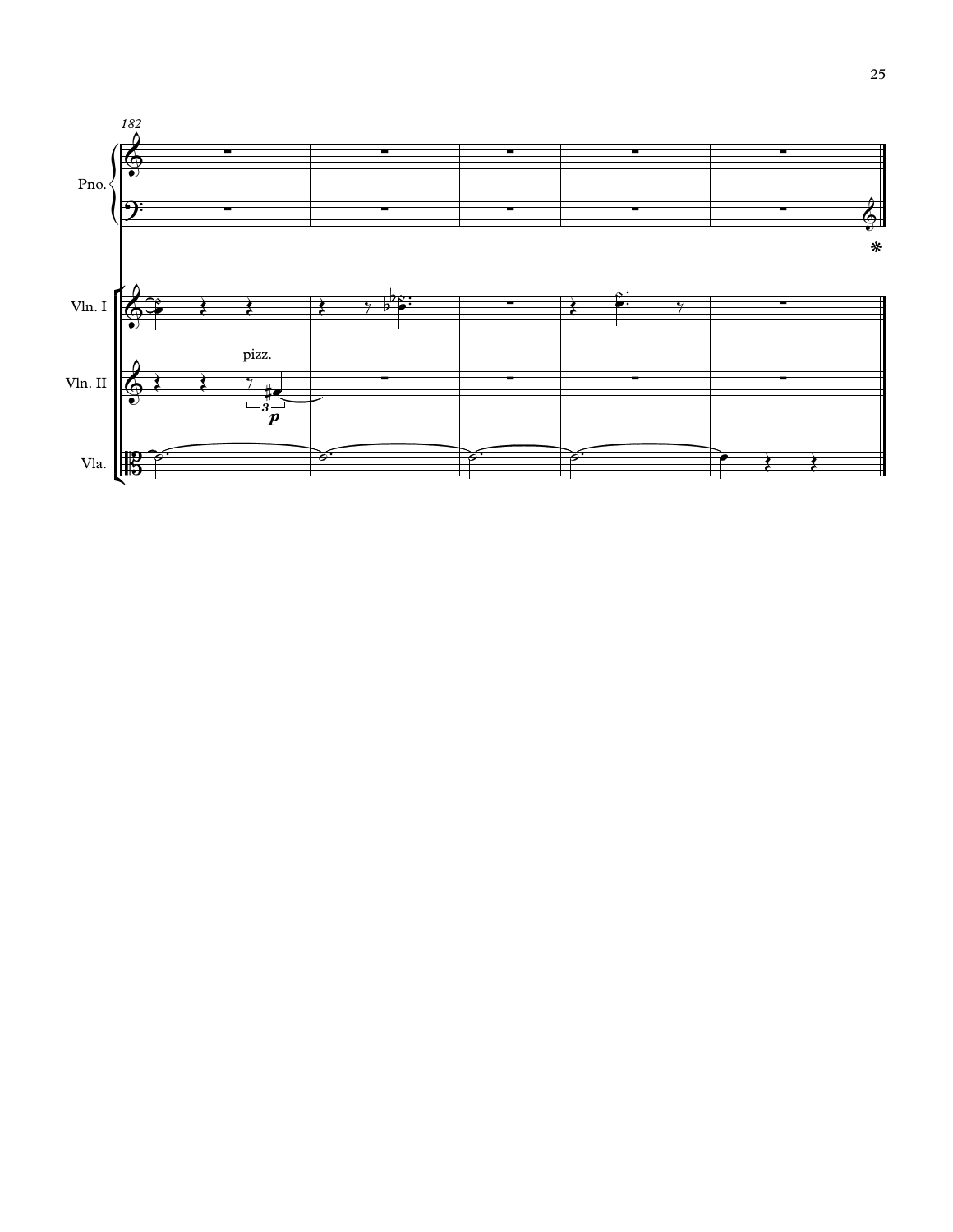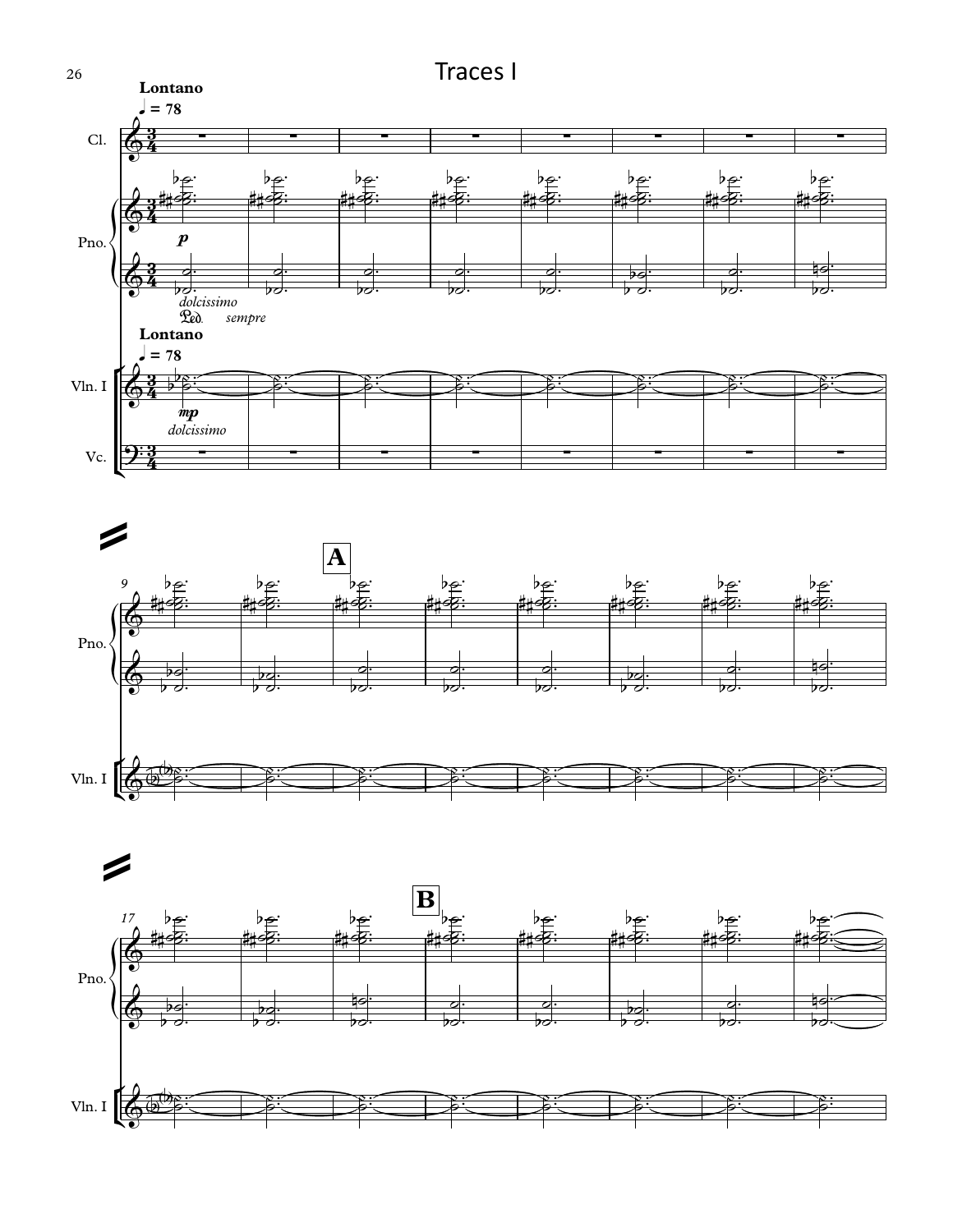



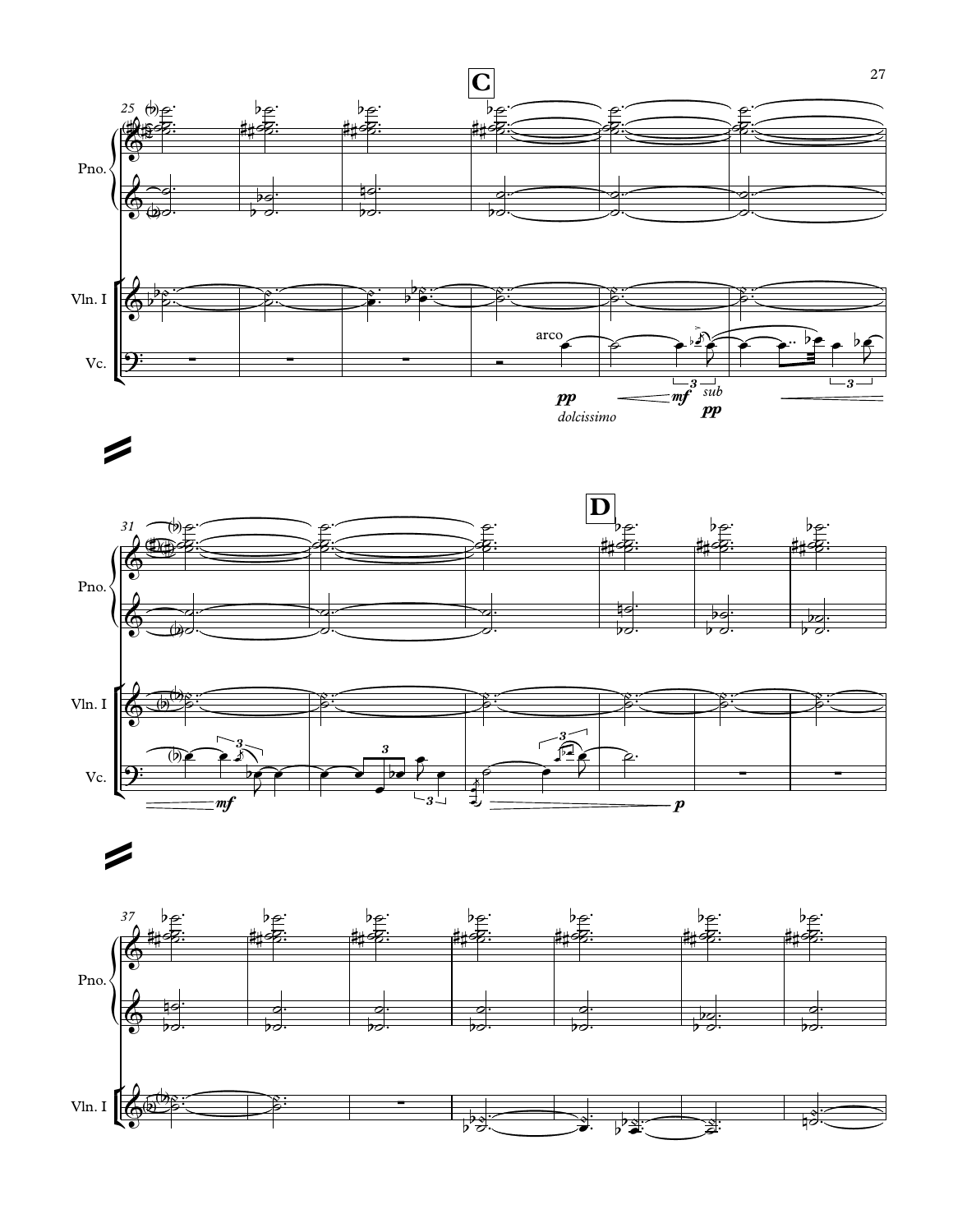



=

=

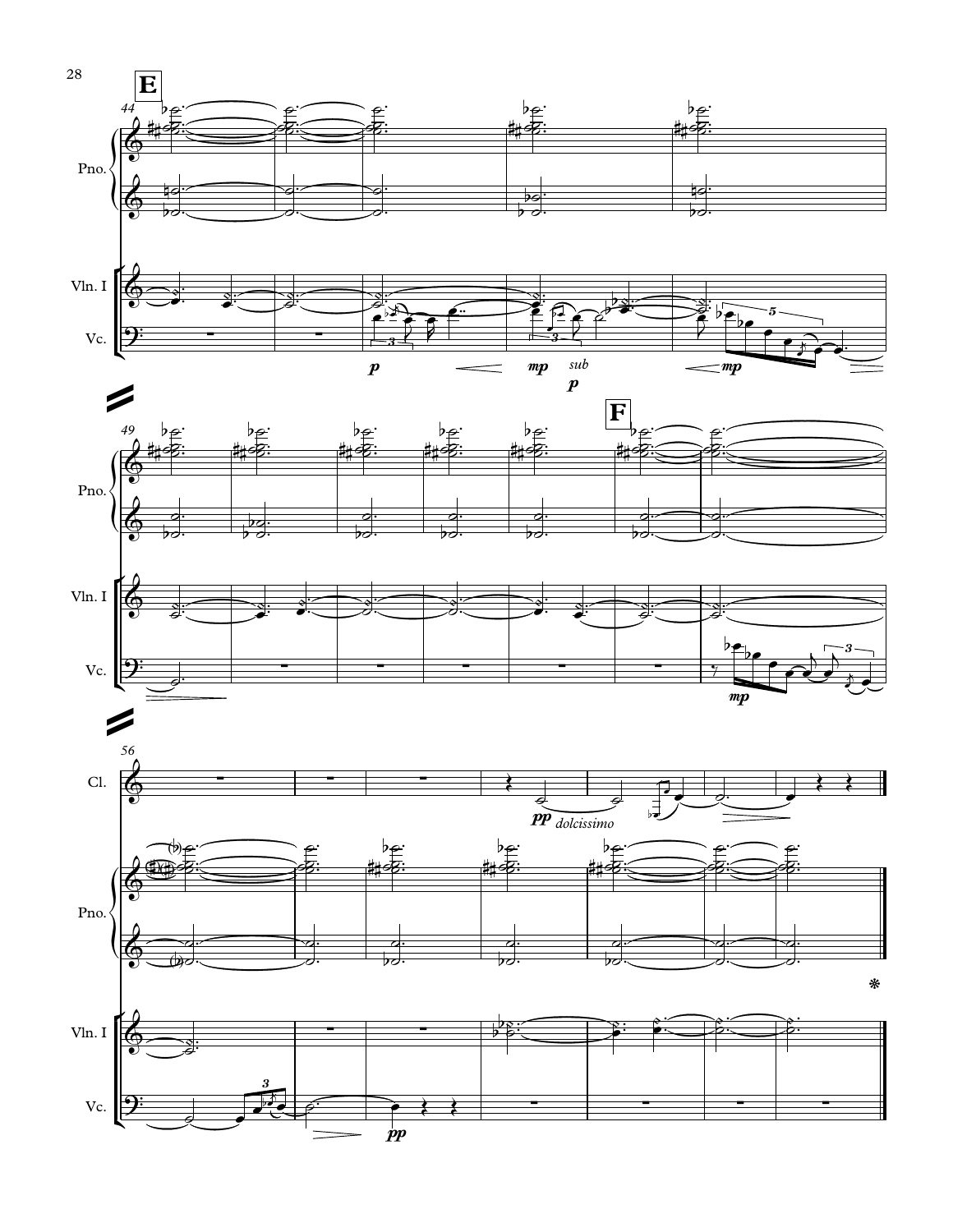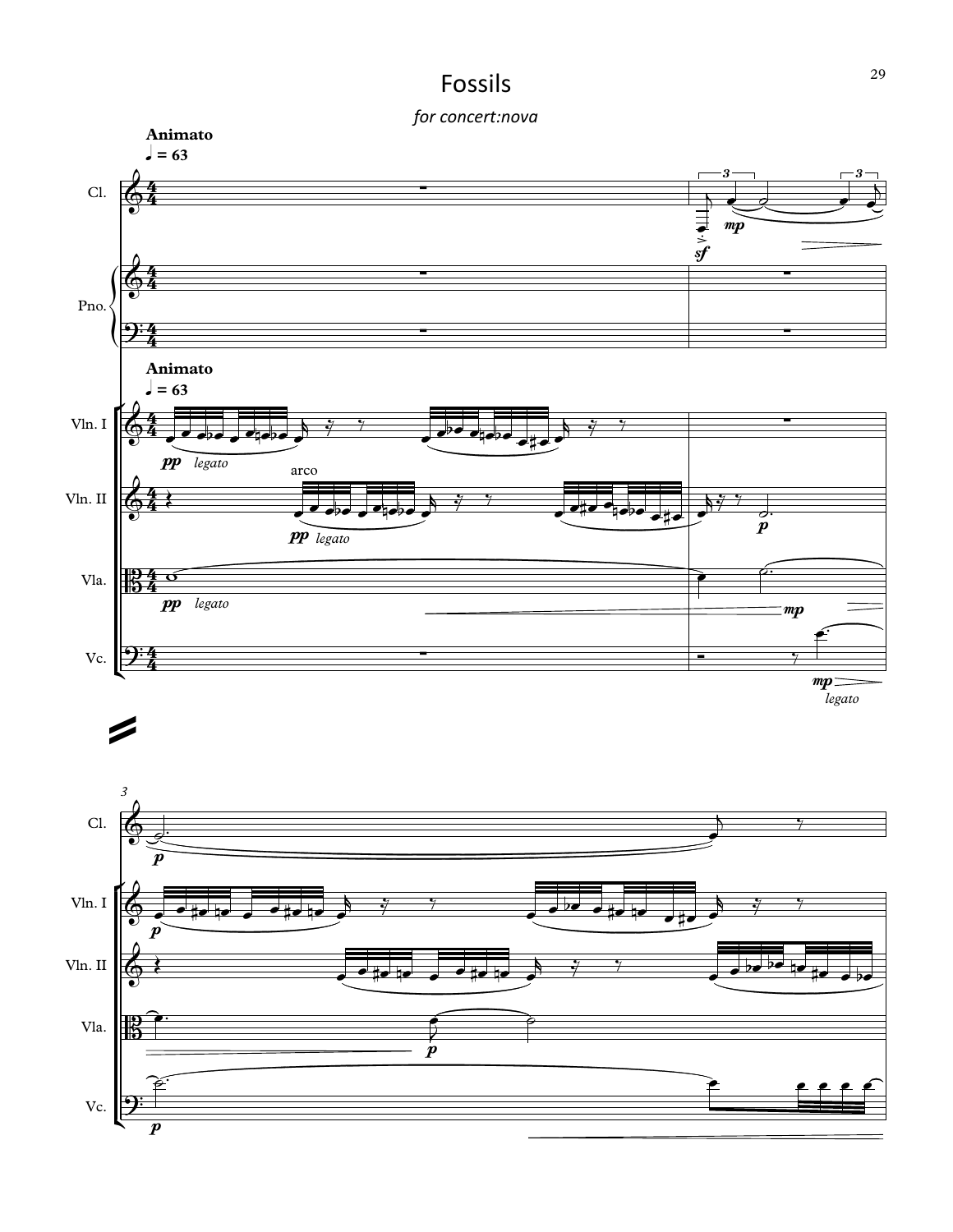### Fossils

*for concert:nova*

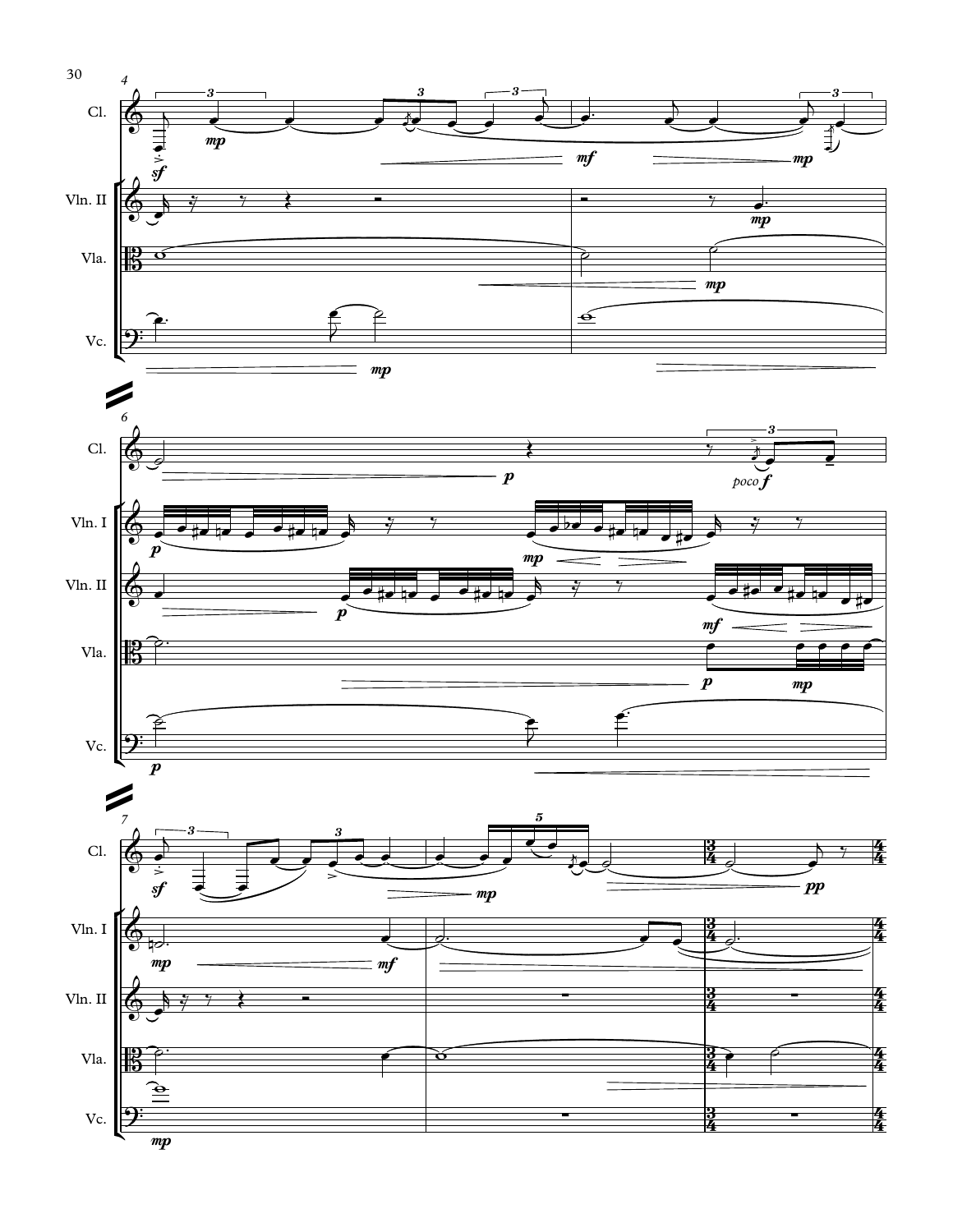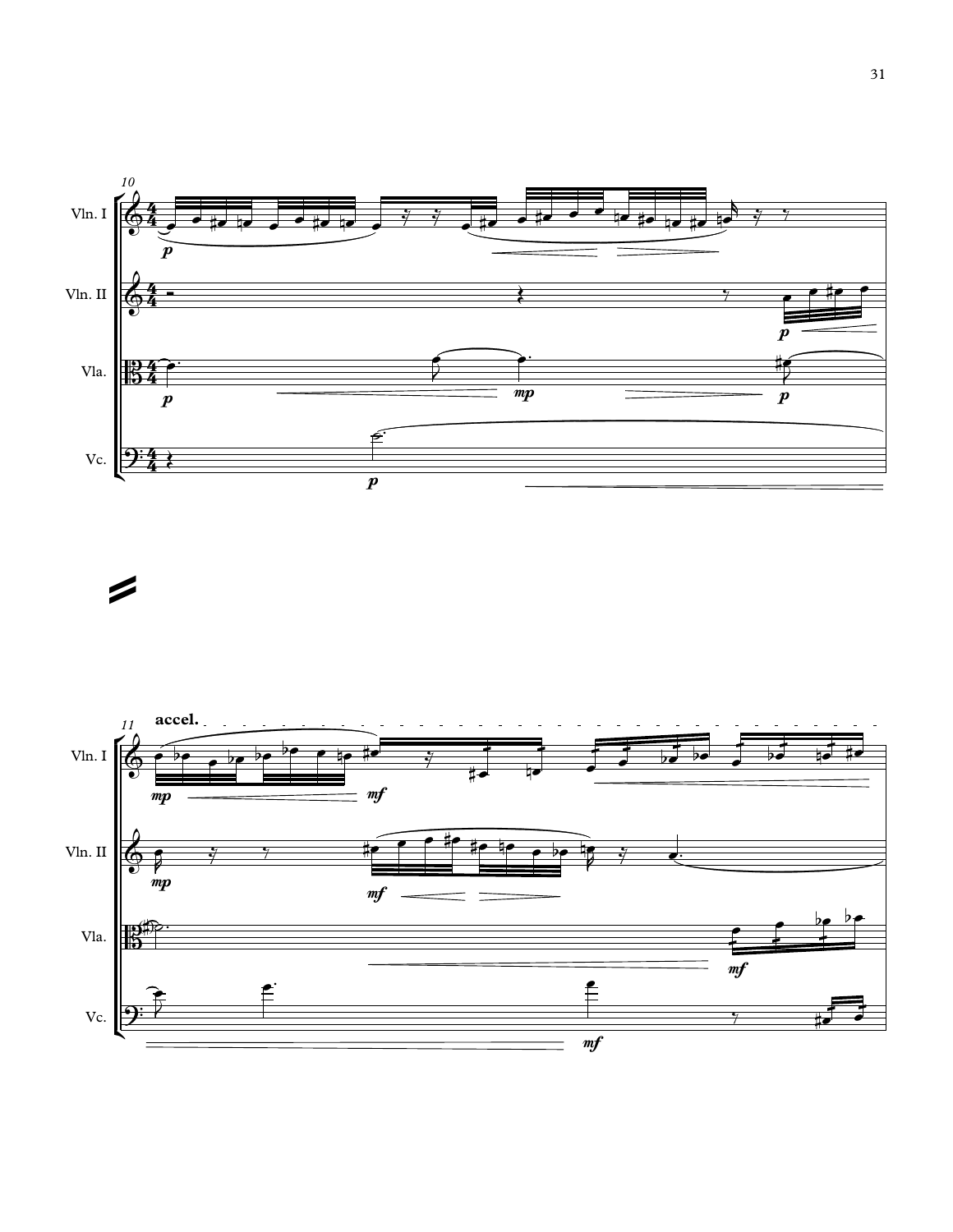



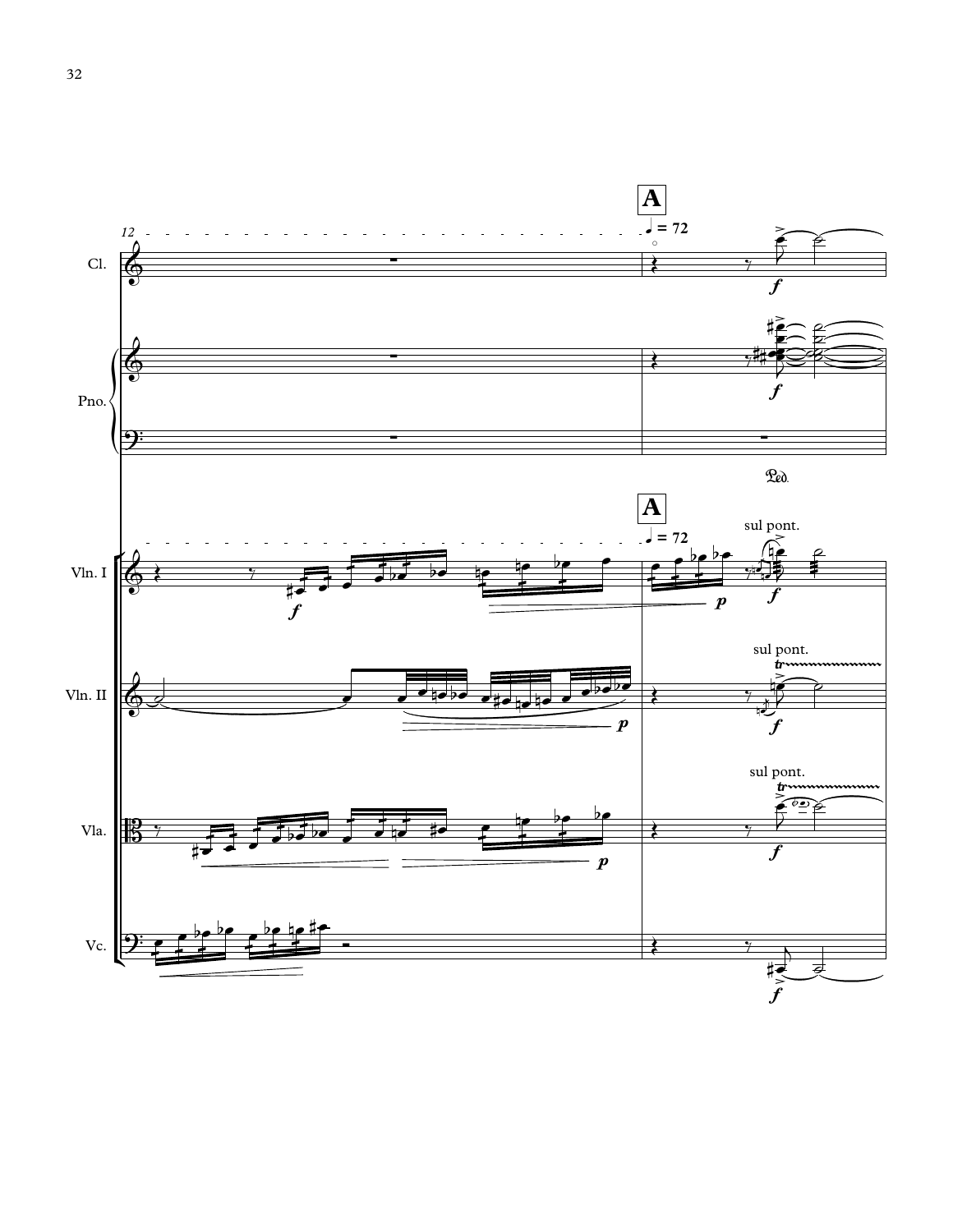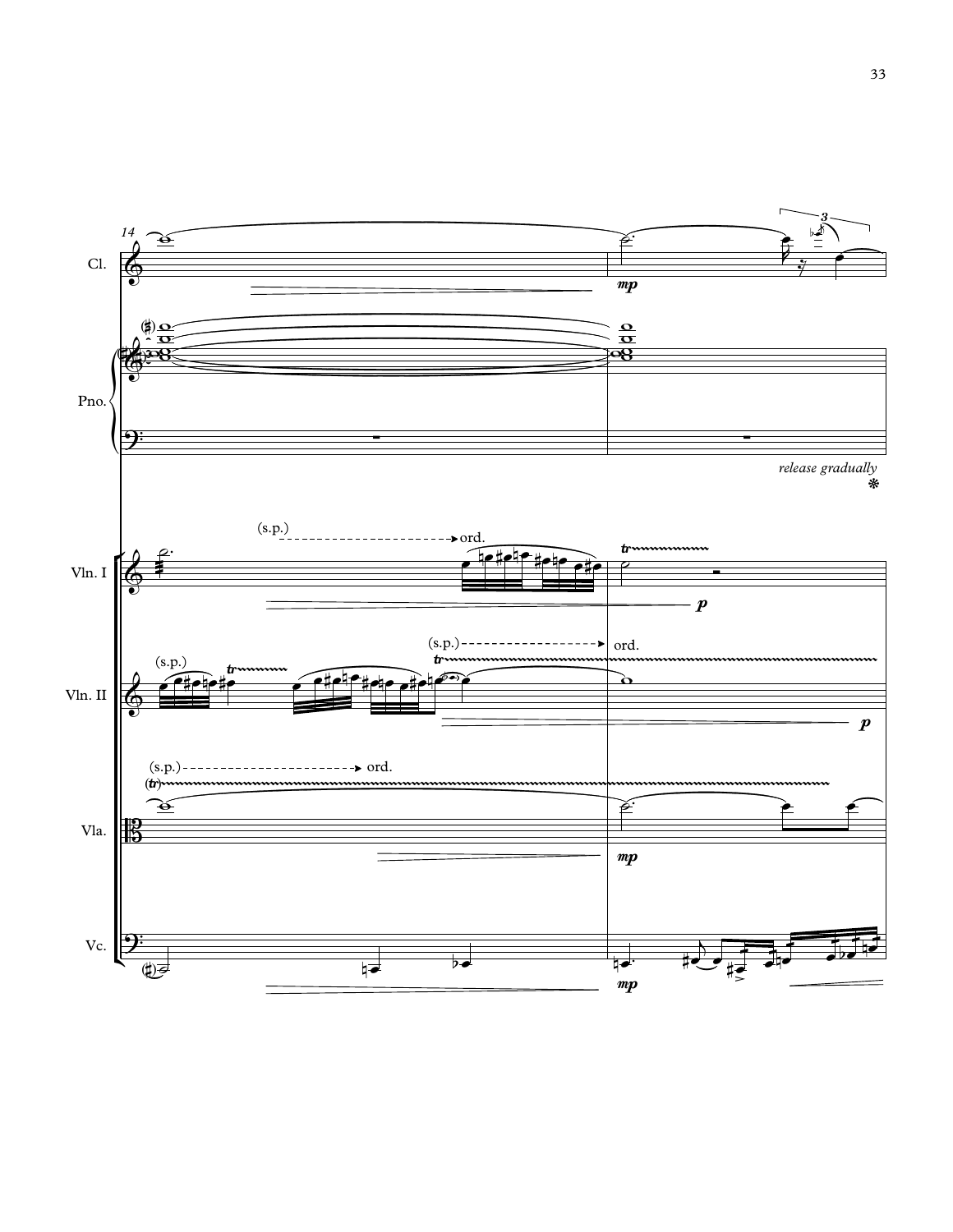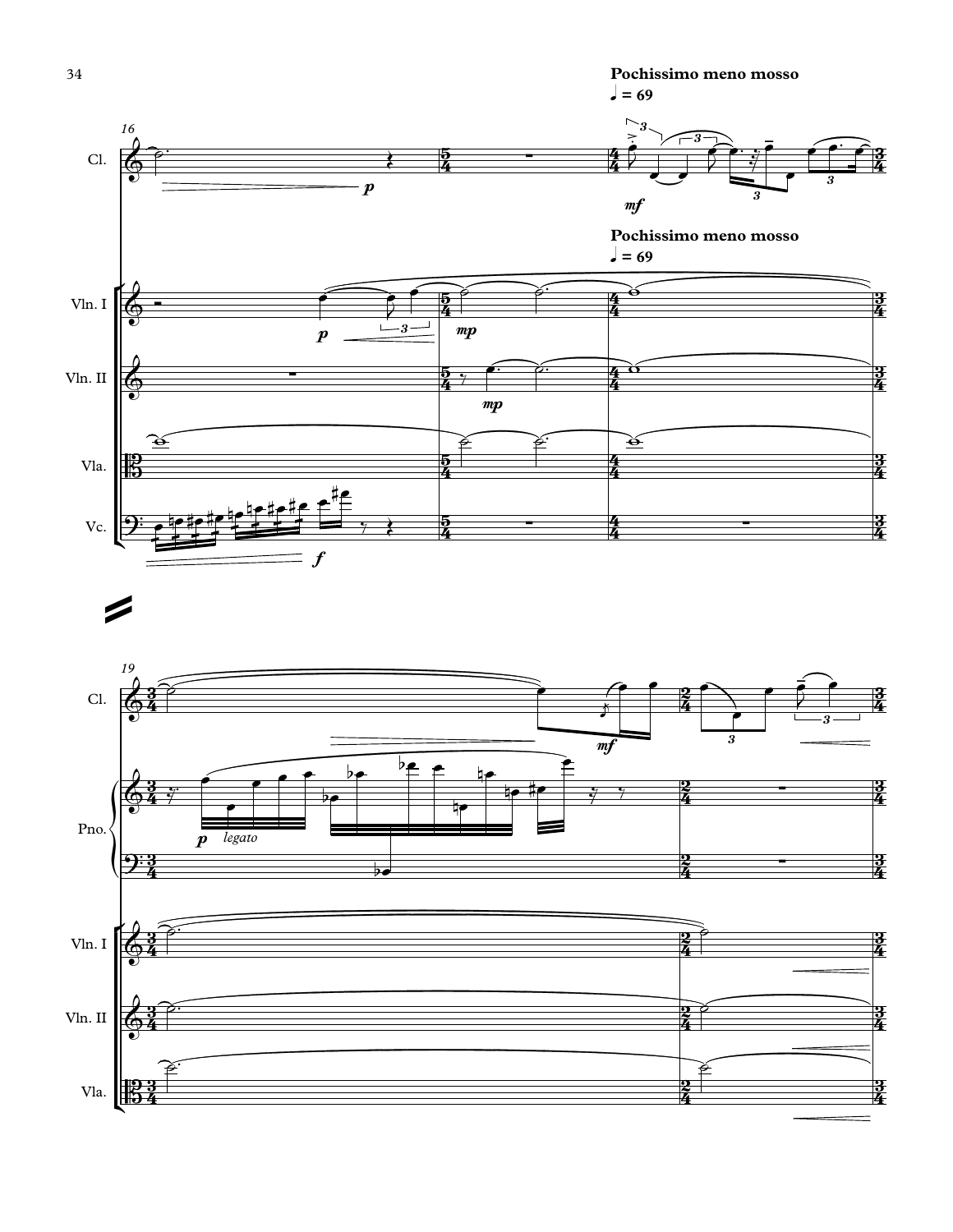



=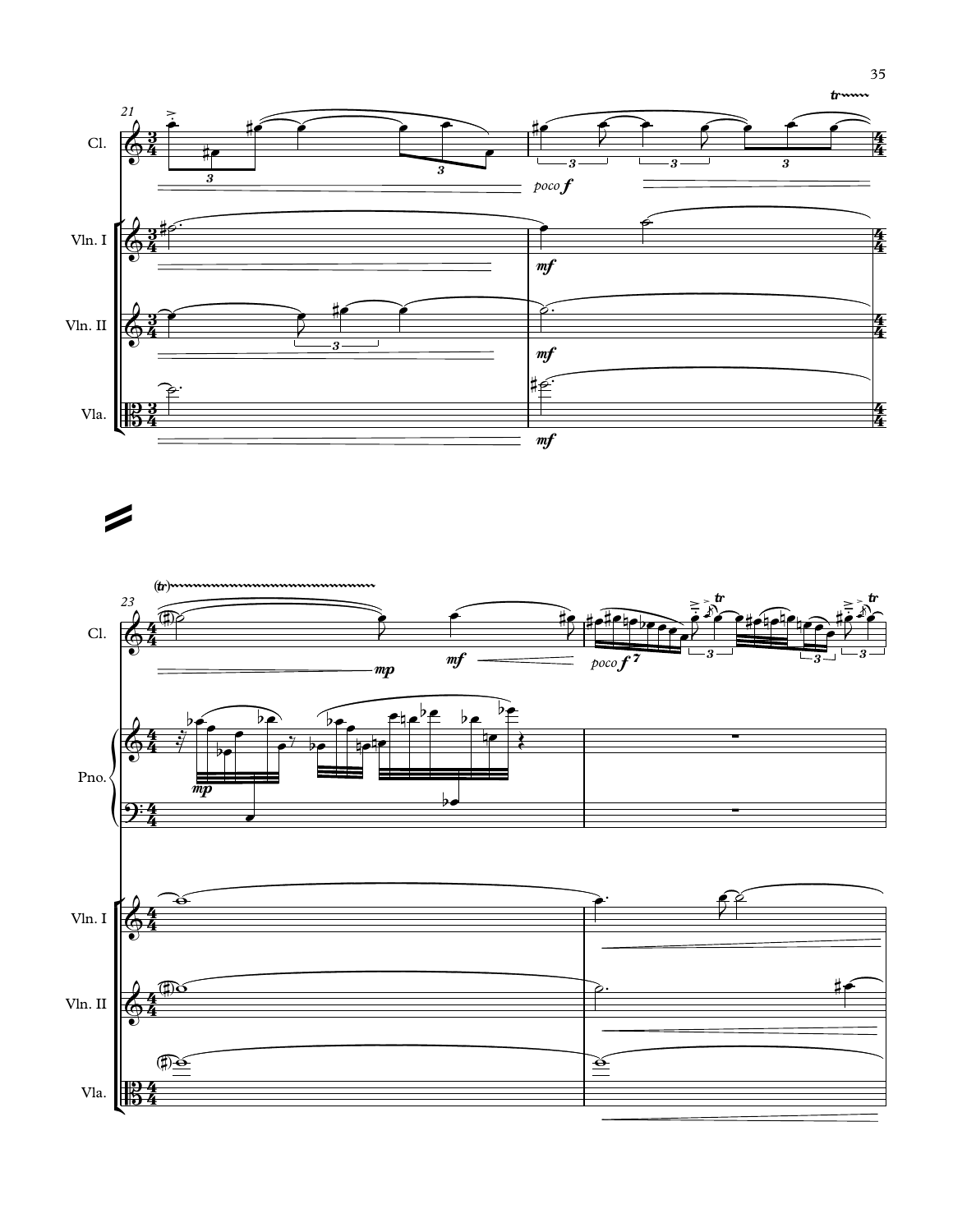

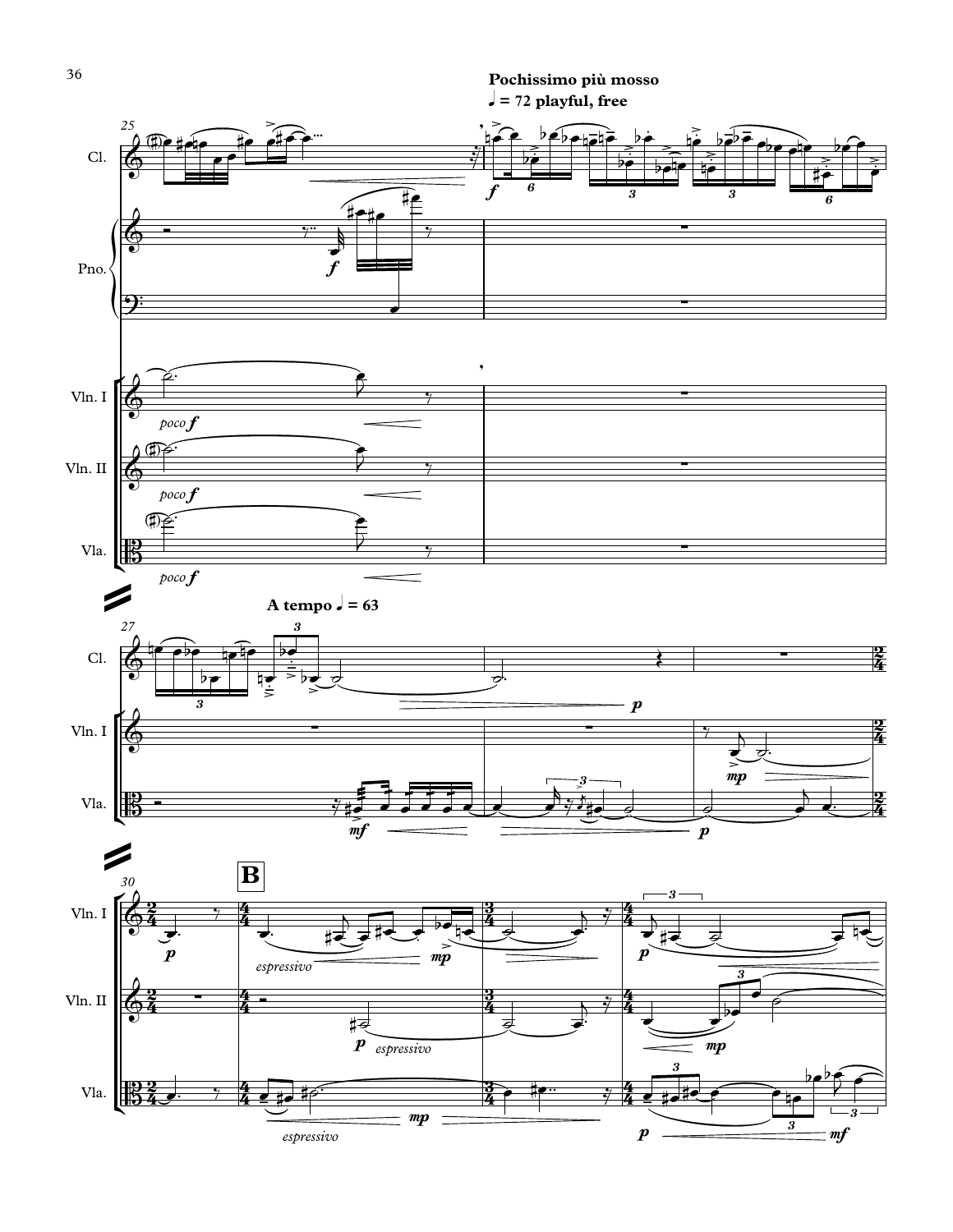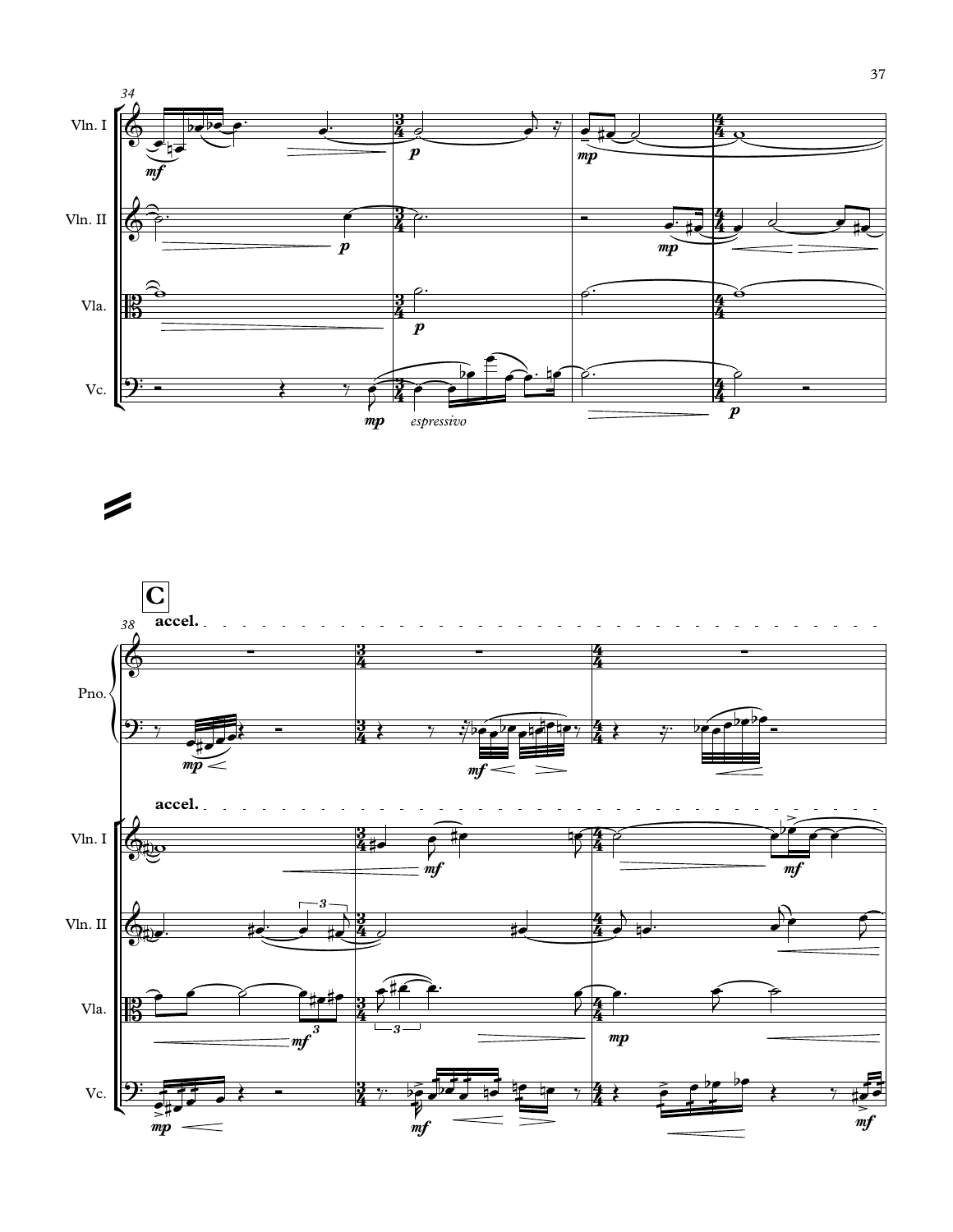

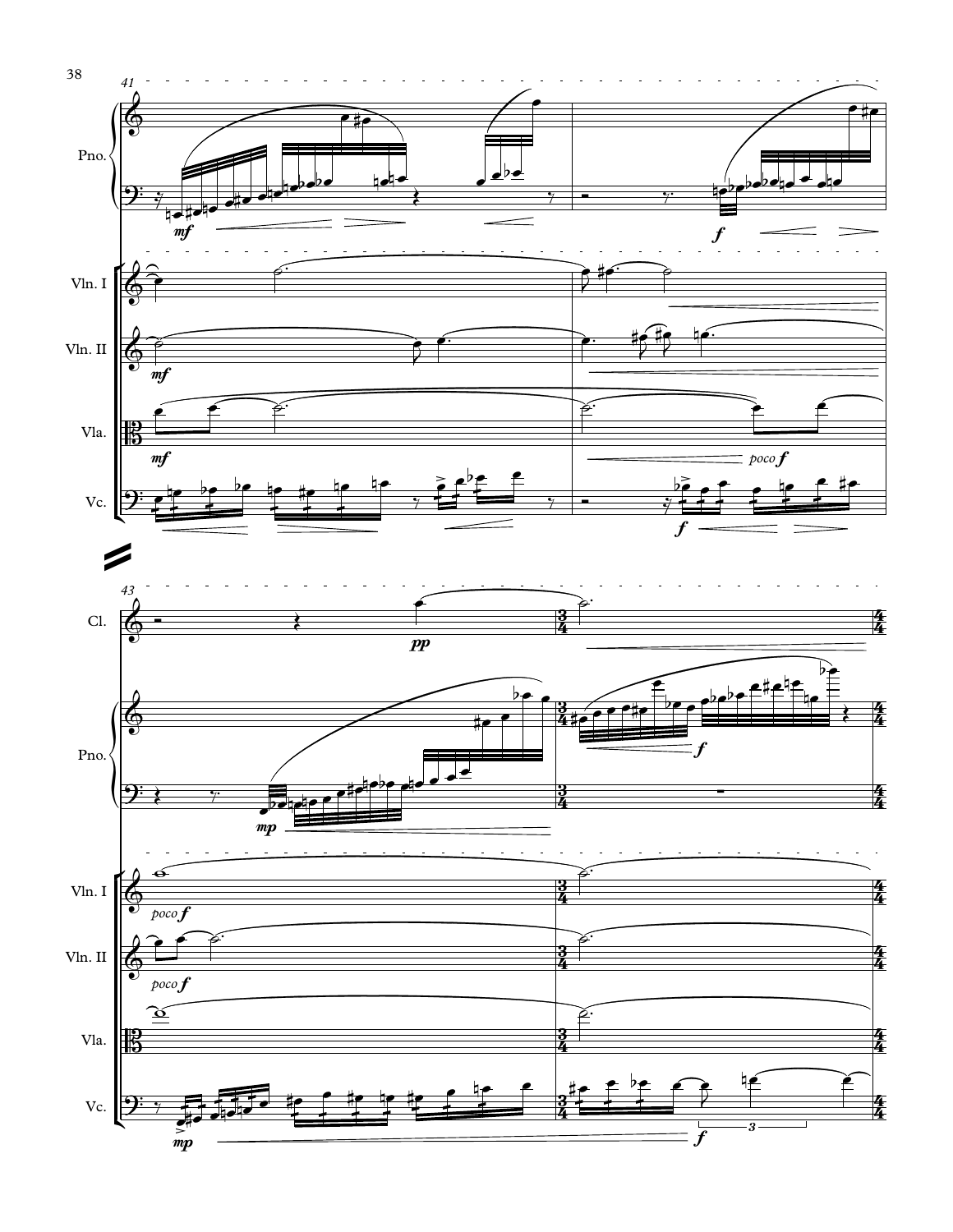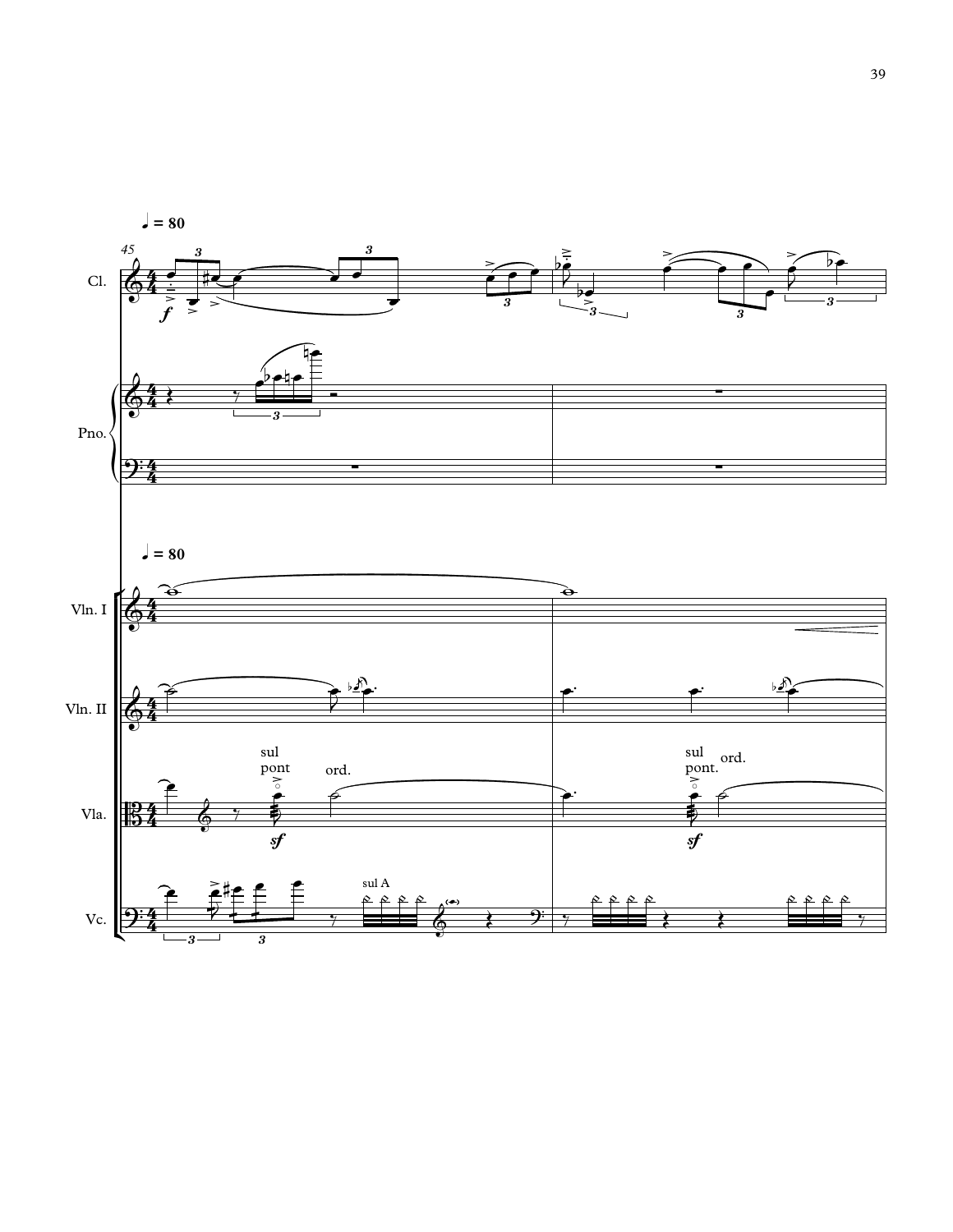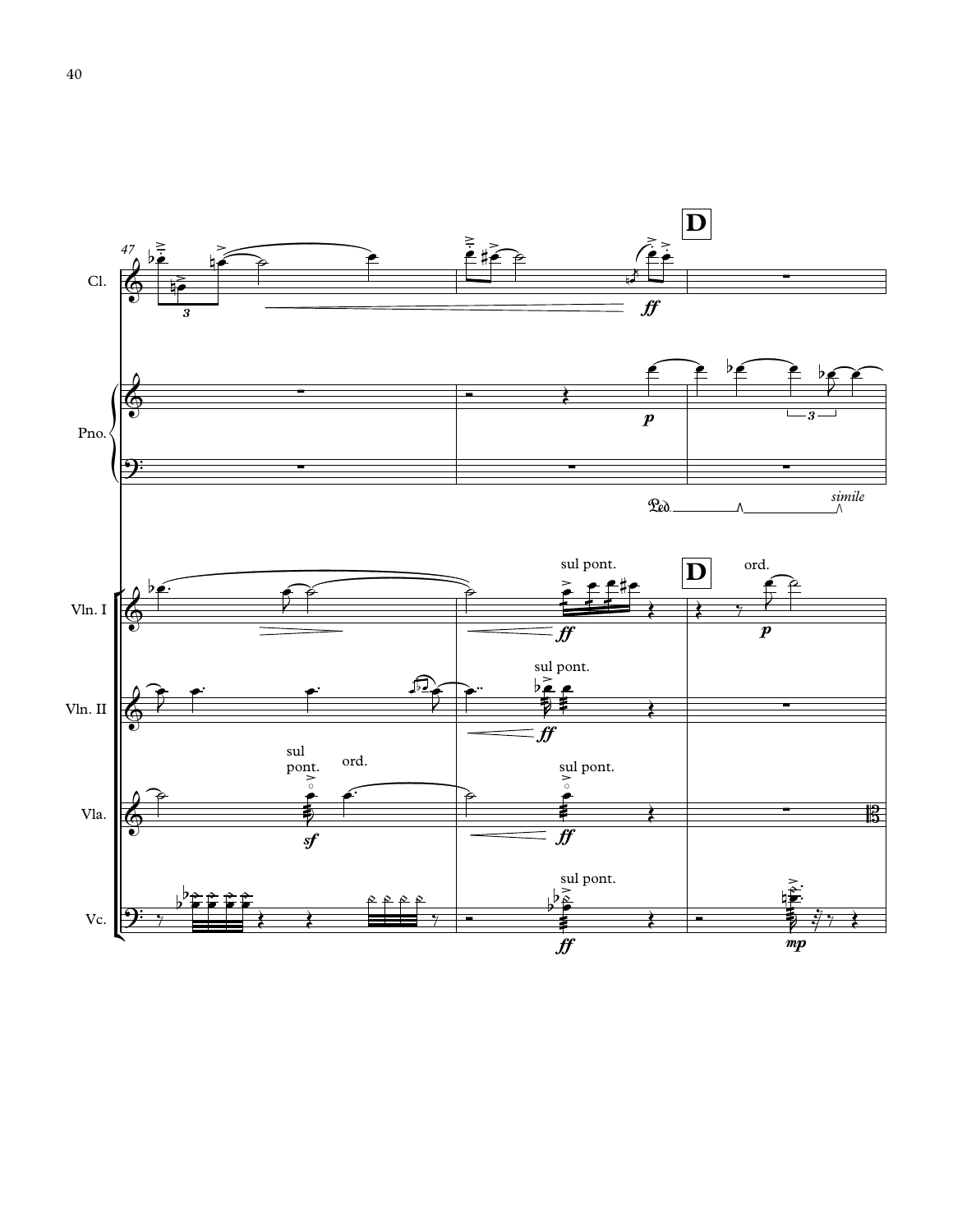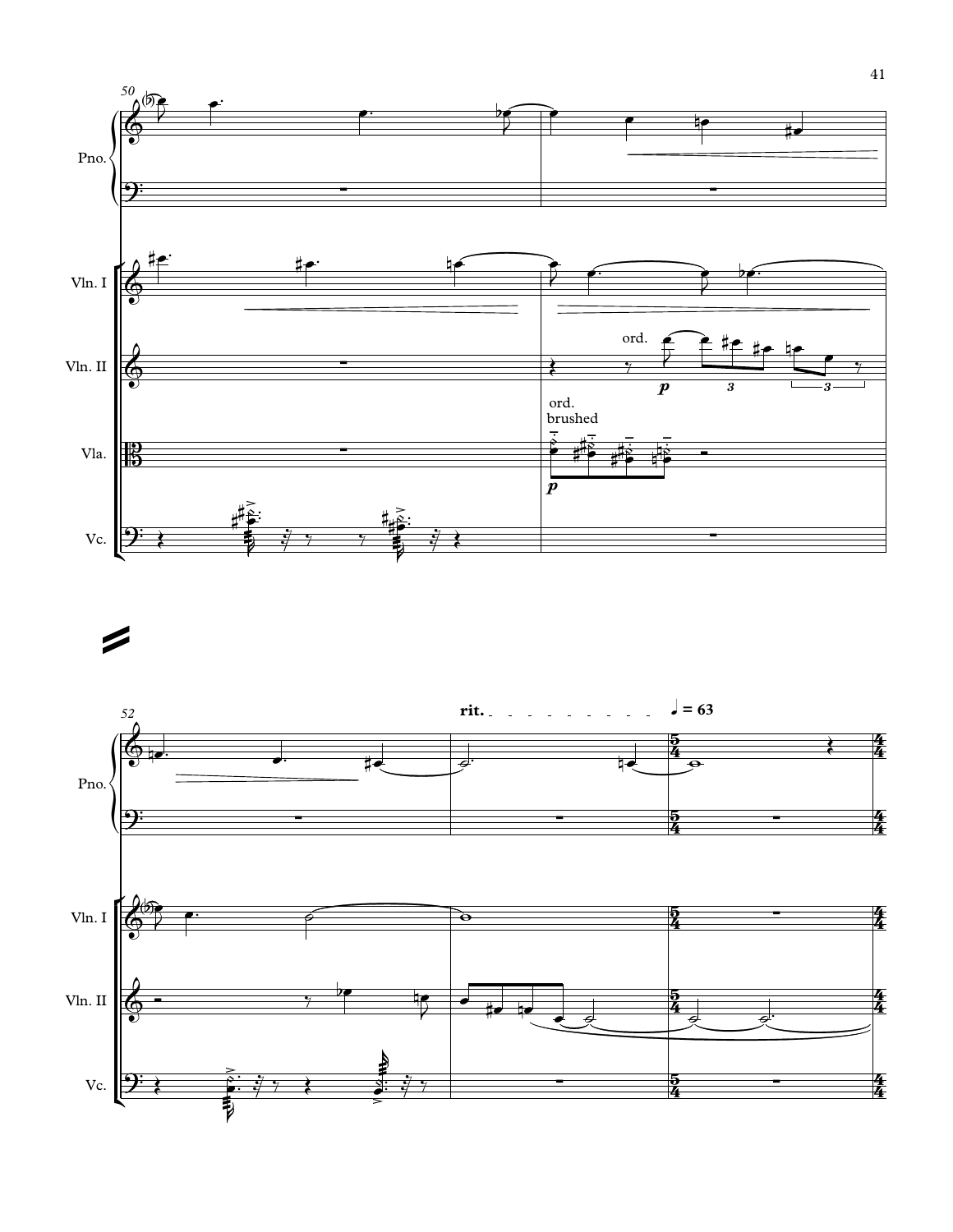



 $\overline{\mathbf{z}}$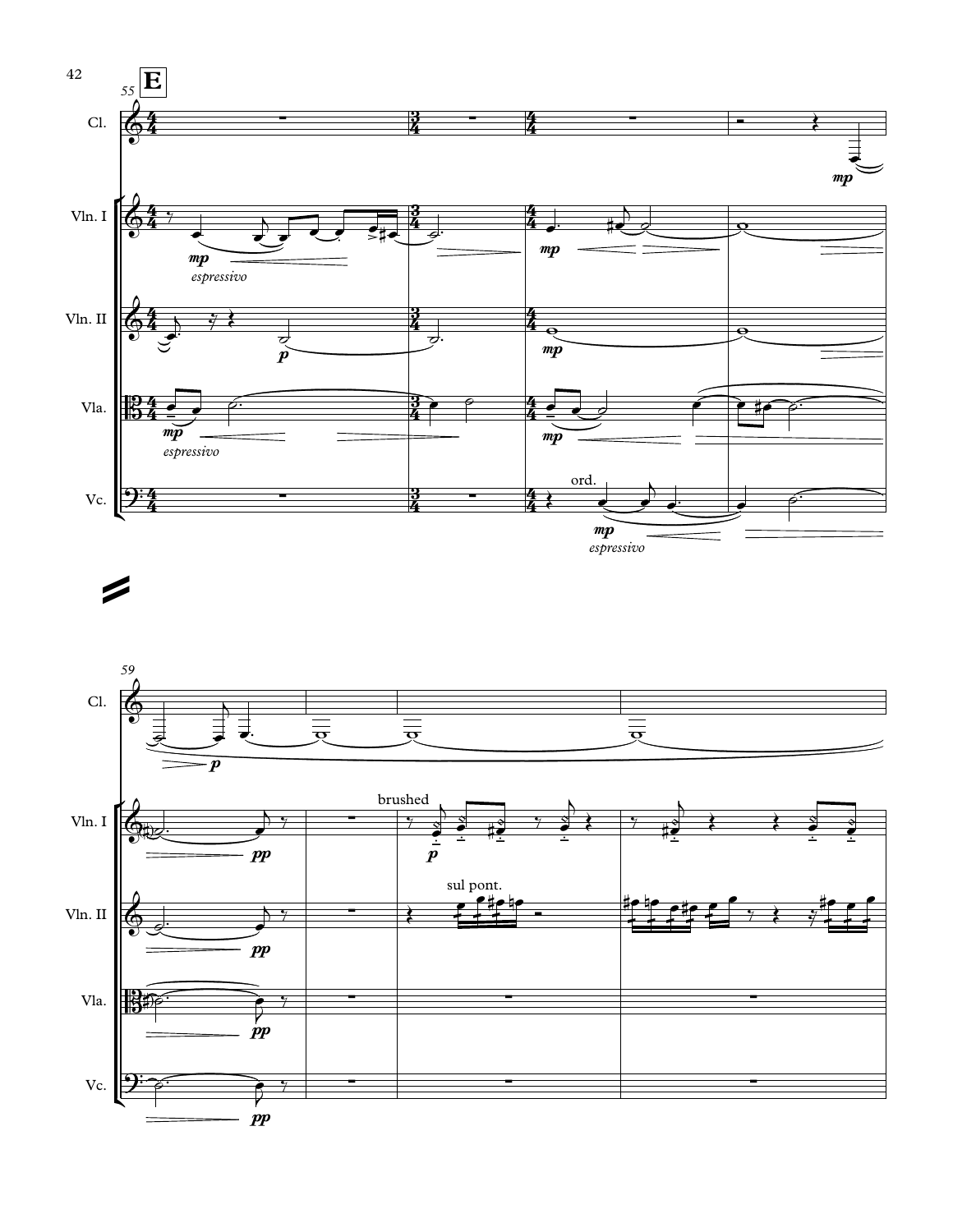

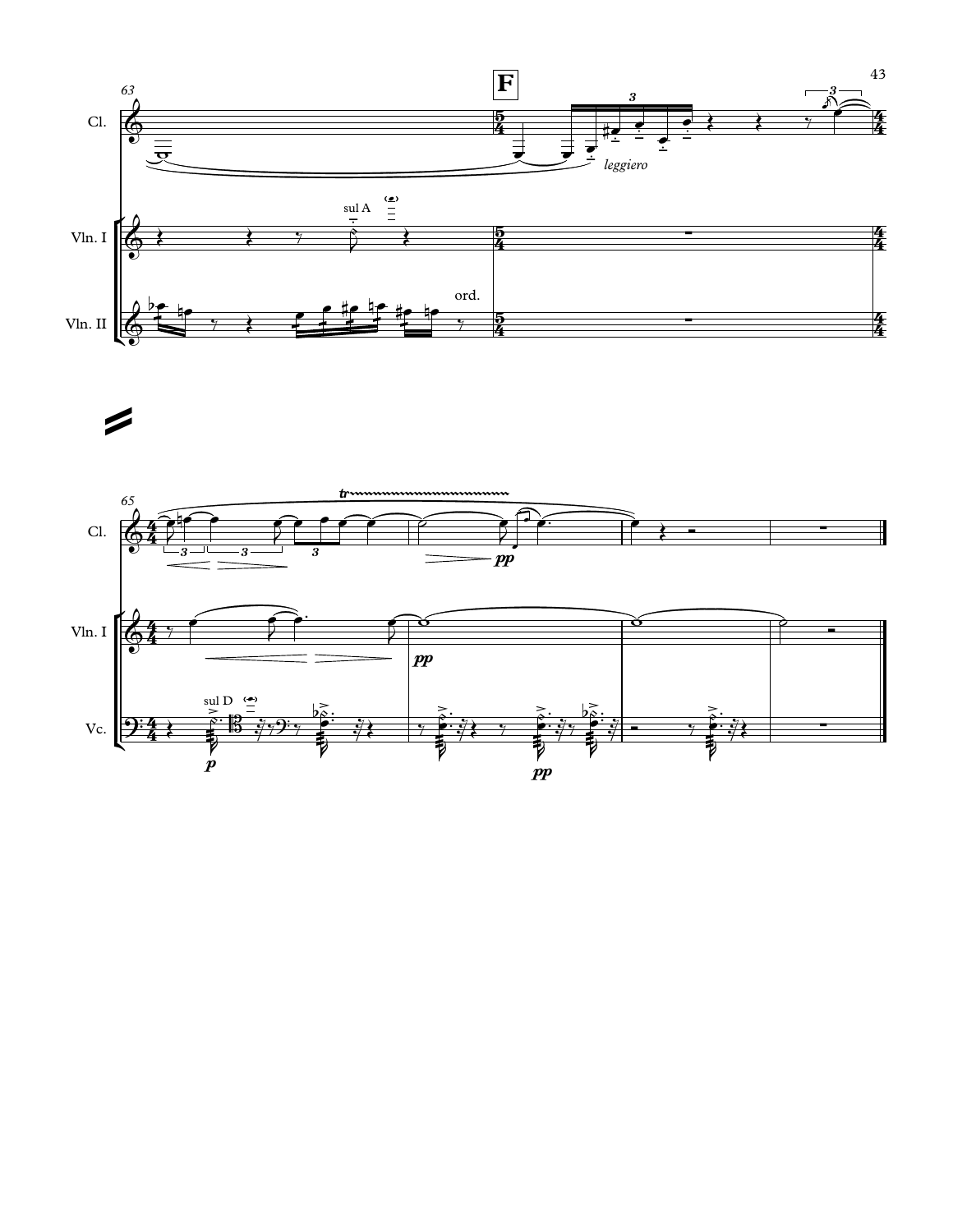

 $\blacktriangleright$ 

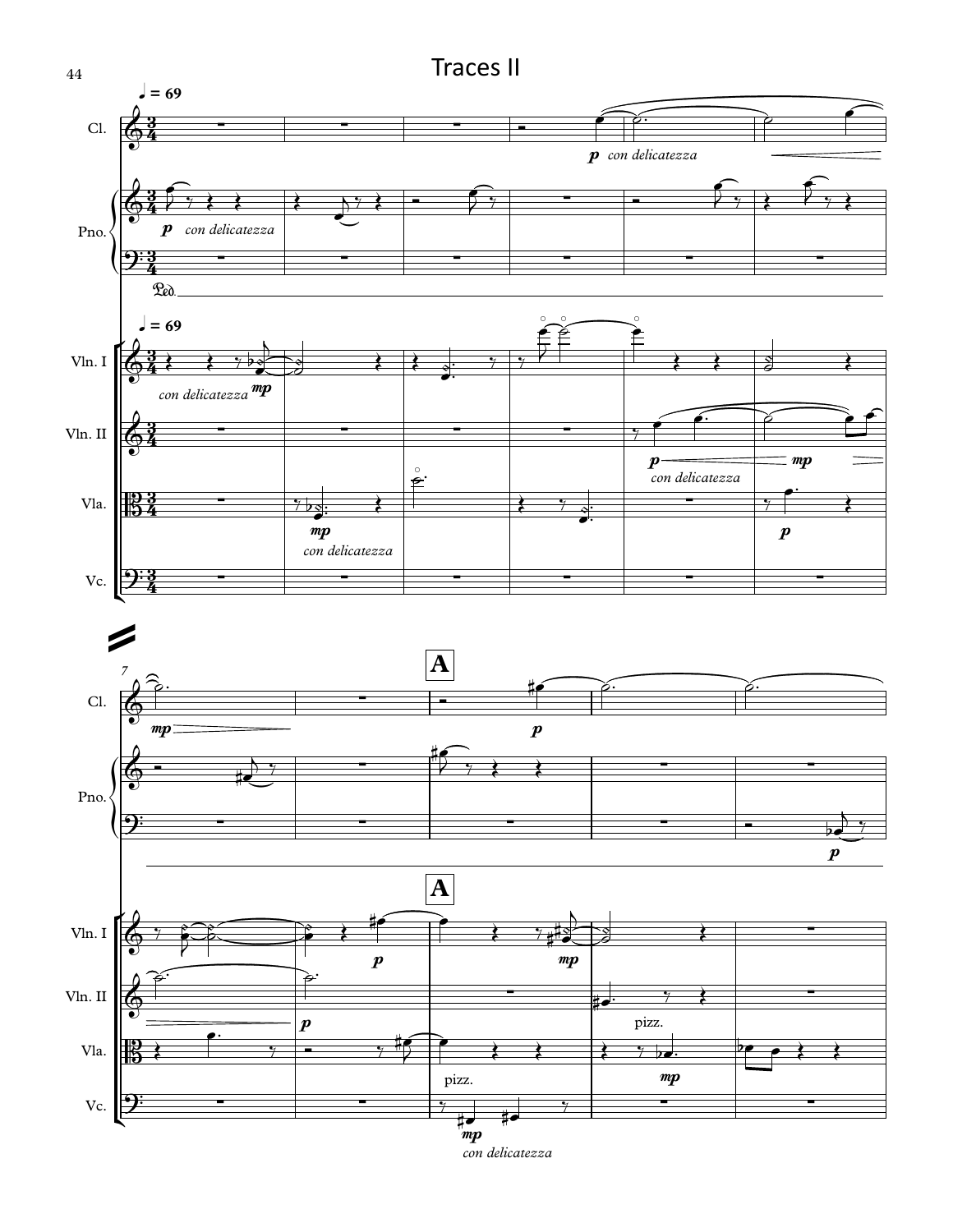

*con delicatezza*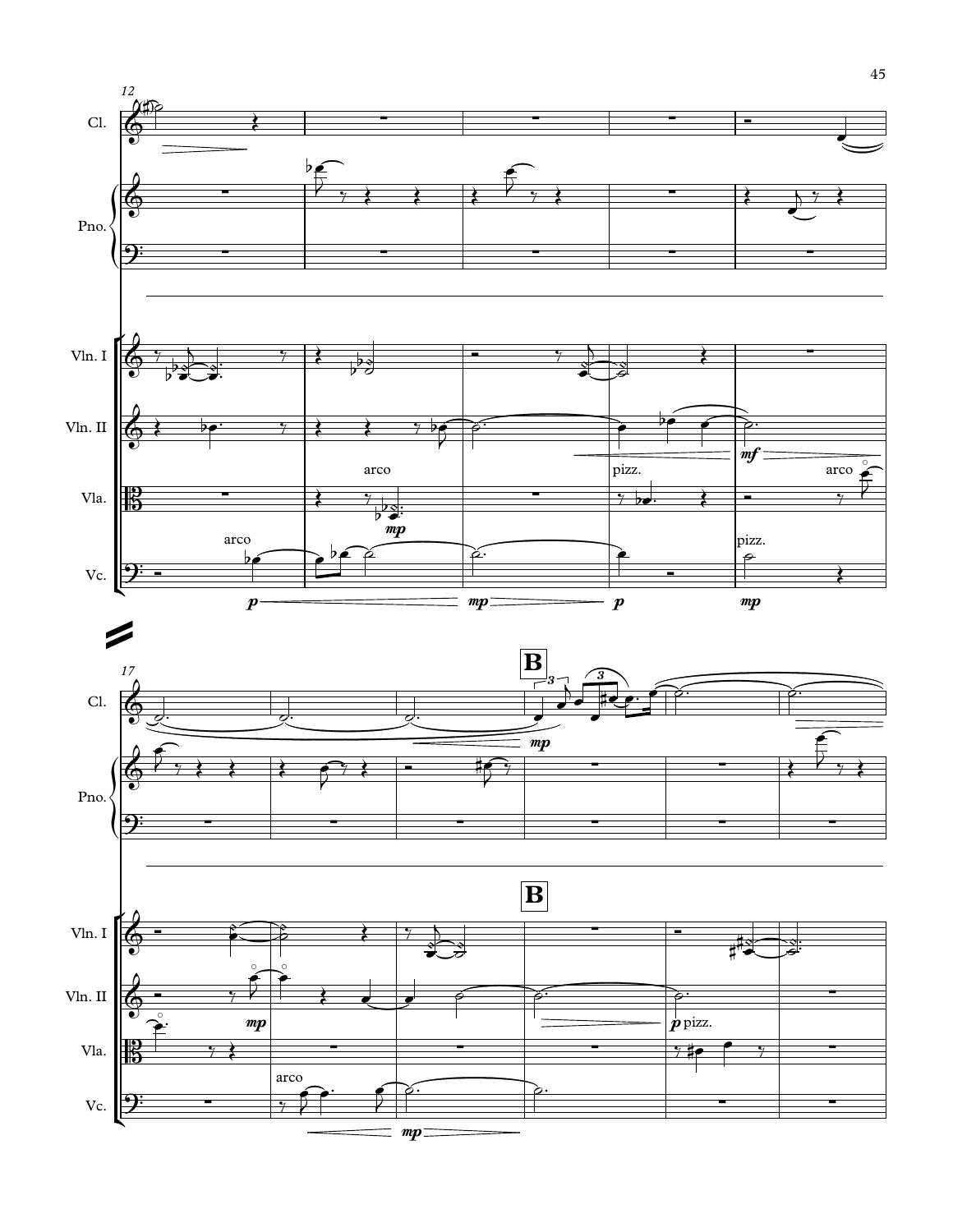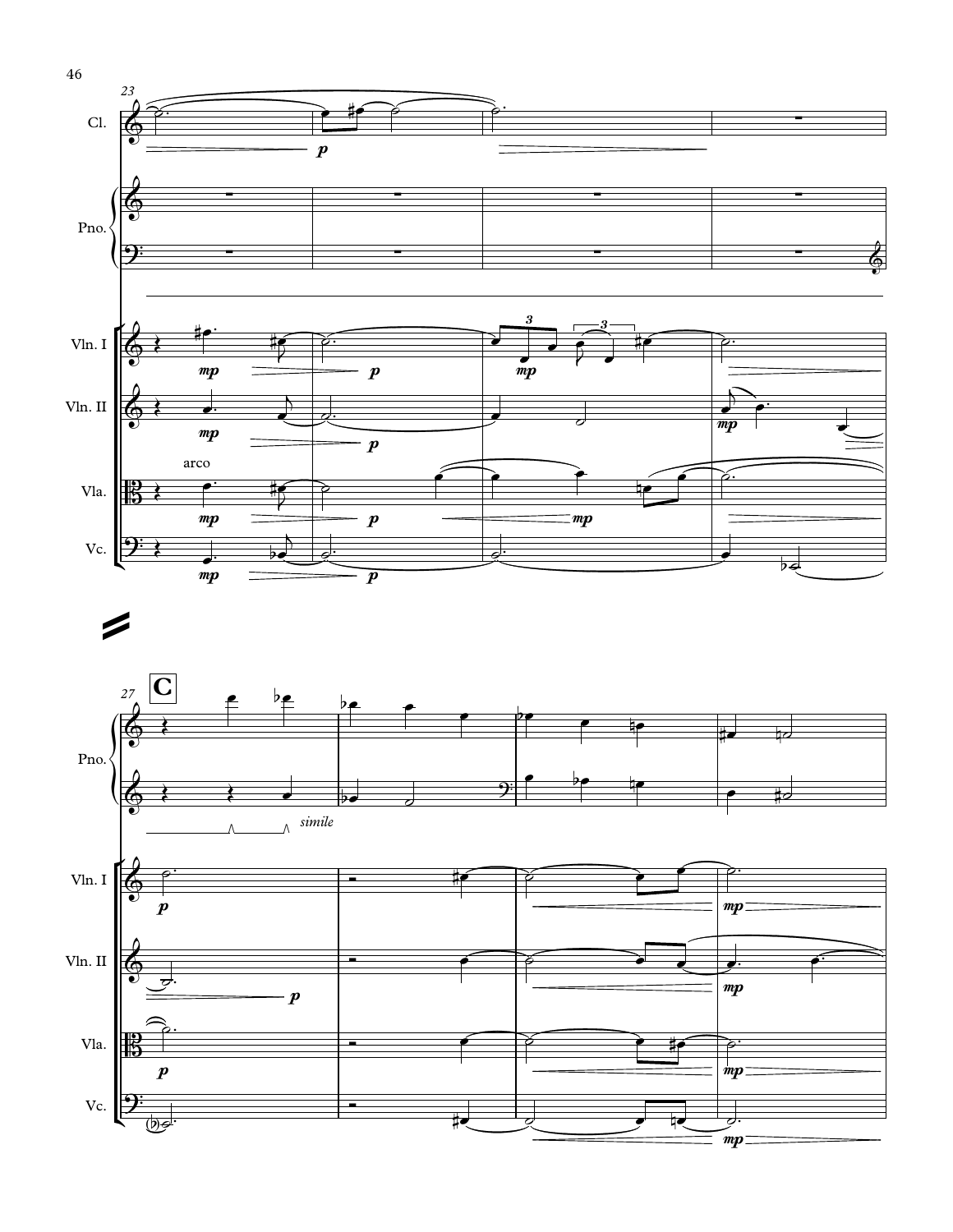